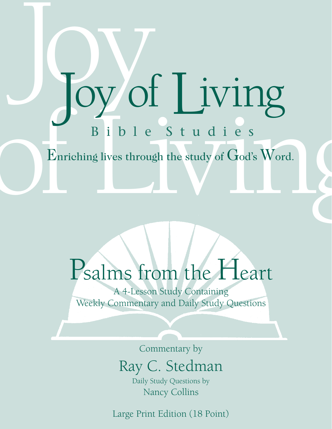Bible Studies<br>Enriching lives through the study of God's Word.

B i b l e S t u d i e s

Joy of Living

J<br>Joy of

# Psalms from the Heart

A 4-Lesson Study Containing Weekly Commentary and Daily Study Questions

Commentary by

# Ray C. Stedman

Daily Study Questions by Nancy Collins

Large Print Edition (18 Point)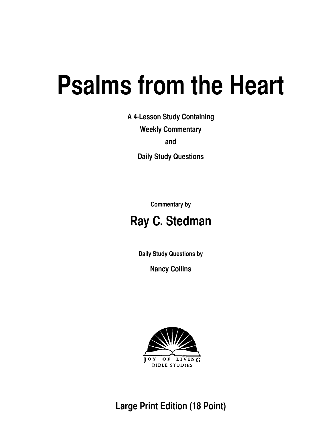# **Psalms from the Heart**

**A 4-Lesson Study Containing Weekly Commentary and Daily Study Questions**

**Commentary by**

# **Ray C. Stedman**

**Daily Study Questions by**

**Nancy Collins**



**Large Print Edition (18 Point)**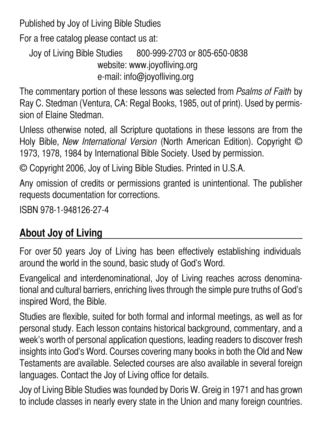Published by Joy of Living Bible Studies

For a free catalog please contact us at:

Joy of Living Bible Studies 800-999-2703 or 805-650-0838 website: www.joyofliving.org e-mail: info@joyofliving.org

The commentary portion of these lessons was selected from Psalms of Faith by Ray C. Stedman (Ventura, CA: Regal Books, 1985, out of print). Used by permission of Elaine Stedman.

Unless otherwise noted, all Scripture quotations in these lessons are from the Holy Bible, New International Version (North American Edition). Copyright © 1973, 1978, 1984 by International Bible Society. Used by permission.

© Copyright 2006, Joy of Living Bible Studies. Printed in U.S.A.

Any omission of credits or permissions granted is unintentional. The publisher requests documentation for corrections.

ISBN 978-1-948126-27-4

# **About Joy of Living**

For over 50 years Joy of Living has been effectively establishing individuals around the world in the sound, basic study of God's Word.

Evangelical and interdenominational, Joy of Living reaches across denominational and cultural barriers, enriching lives through the simple pure truths of God's inspired Word, the Bible.

Studies are flexible, suited for both formal and informal meetings, as well as for personal study. Each lesson contains historical background, commentary, and a week's worth of personal application questions, leading readers to discover fresh insights into God's Word. Courses covering many books in both the Old and New Testaments are available. Selected courses are also available in several foreign languages. Contact the Joy of Living office for details.

Joy of Living Bible Studies was founded by Doris W. Greig in 1971 and has grown to include classes in nearly every state in the Union and many foreign countries.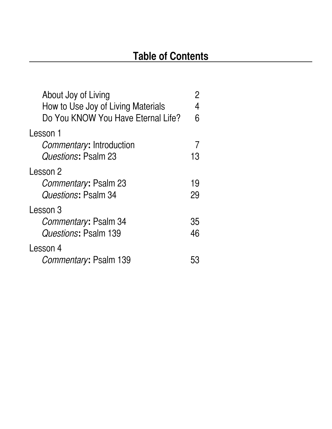# **Table of Contents**

| About Joy of Living<br>How to Use Joy of Living Materials<br>Do You KNOW You Have Eternal Life? | 2<br>$\overline{4}$<br>6 |
|-------------------------------------------------------------------------------------------------|--------------------------|
| Lesson 1<br>Commentary: Introduction<br>Questions: Psalm 23                                     | 13                       |
| Lesson 2<br>Commentary: Psalm 23<br>Questions: Psalm 34                                         | 19<br>29                 |
| Lesson 3<br>Commentary: Psalm 34<br>Questions: Psalm 139                                        | 35<br>46                 |
| Lesson 4<br>Commentary: Psalm 139                                                               | 53                       |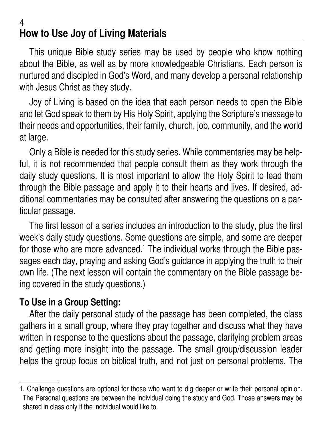#### 4 **How to Use Joy of Living Materials**

This unique Bible study series may be used by people who know nothing about the Bible, as well as by more knowledgeable Christians. Each person is nurtured and discipled in God's Word, and many develop a personal relationship with Jesus Christ as they study.

Joy of Living is based on the idea that each person needs to open the Bible and let God speak to them by His Holy Spirit, applying the Scripture's message to their needs and opportunities, their family, church, job, community, and the world at large.

Only a Bible is needed for this study series. While commentaries may be helpful, it is not recommended that people consult them as they work through the daily study questions. It is most important to allow the Holy Spirit to lead them through the Bible passage and apply it to their hearts and lives. If desired, additional commentaries may be consulted after answering the questions on a particular passage.

The first lesson of a series includes an introduction to the study, plus the first week's daily study questions. Some questions are simple, and some are deeper for those who are more advanced.<sup>1</sup> The individual works through the Bible passages each day, praying and asking God's guidance in applying the truth to their own life. (The next lesson will contain the commentary on the Bible passage being covered in the study questions.)

#### **To Use in a Group Setting:**

After the daily personal study of the passage has been completed, the class gathers in a small group, where they pray together and discuss what they have written in response to the questions about the passage, clarifying problem areas and getting more insight into the passage. The small group/discussion leader helps the group focus on biblical truth, and not just on personal problems. The

<sup>1.</sup> Challenge questions are optional for those who want to dig deeper or write their personal opinion. The Personal questions are between the individual doing the study and God. Those answers may be shared in class only if the individual would like to.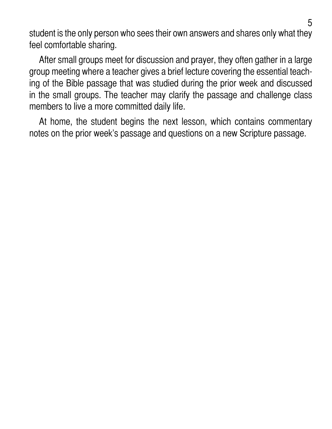student is the only person who sees their own answers and shares only what they feel comfortable sharing.

After small groups meet for discussion and prayer, they often gather in a large group meeting where a teacher gives a brief lecture covering the essential teaching of the Bible passage that was studied during the prior week and discussed in the small groups. The teacher may clarify the passage and challenge class members to live a more committed daily life.

At home, the student begins the next lesson, which contains commentary notes on the prior week's passage and questions on a new Scripture passage.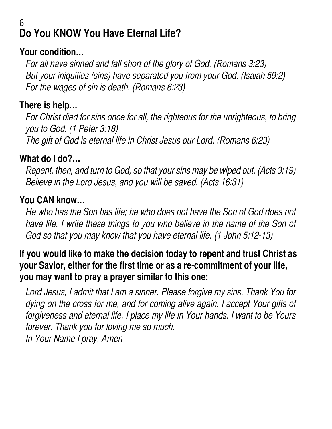#### 6 **Do You KNOW You Have Eternal Life?**

#### **Your condition…**

For all have sinned and fall short of the glory of God. (Romans 3:23) But your iniquities (sins) have separated you from your God. (Isaiah 59:2) For the wages of sin is death. (Romans 6:23)

#### **There is help…**

For Christ died for sins once for all, the righteous for the unrighteous, to bring you to God. (1 Peter 3:18) The gift of God is eternal life in Christ Jesus our Lord. (Romans 6:23)

#### **What do I do?…**

Repent, then, and turn to God, so that your sins may be wiped out. (Acts 3:19) Believe in the Lord Jesus, and you will be saved. (Acts 16:31)

#### **You CAN know…**

He who has the Son has life; he who does not have the Son of God does not have life. I write these things to you who believe in the name of the Son of God so that you may know that you have eternal life. (1 John 5:12-13)

#### **If you would like to make the decision today to repent and trust Christ as your Savior, either for the first time or as a re-commitment of your life, you may want to pray a prayer similar to this one:**

Lord Jesus, I admit that I am a sinner. Please forgive my sins. Thank You for dying on the cross for me, and for coming alive again. I accept Your gifts of forgiveness and eternal life. I place my life in Your hands. I want to be Yours forever. Thank you for loving me so much. In Your Name I pray, Amen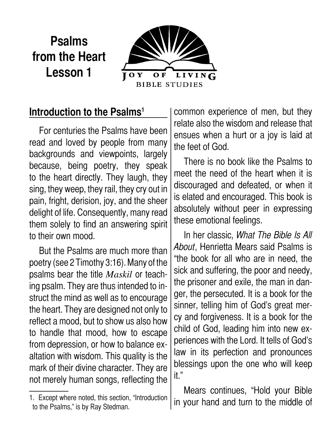# **Psalms from the Heart Lesson 1**



#### **Introduction to the Psalms1**

For centuries the Psalms have been read and loved by people from many backgrounds and viewpoints, largely because, being poetry, they speak to the heart directly. They laugh, they sing, they weep, they rail, they cry out in pain, fright, derision, joy, and the sheer delight of life. Consequently, many read them solely to find an answering spirit to their own mood.

But the Psalms are much more than poetry (see 2 Timothy 3:16). Many of the psalms bear the title *Maskil* or teaching psalm. They are thus intended to instruct the mind as well as to encourage the heart. They are designed not only to reflect a mood, but to show us also how to handle that mood, how to escape from depression, or how to balance exaltation with wisdom. This quality is the mark of their divine character. They are not merely human songs, reflecting the

1. Except where noted, this section, "Introduction to the Psalms," is by Ray Stedman.

common experience of men, but they relate also the wisdom and release that ensues when a hurt or a joy is laid at the feet of God.

There is no book like the Psalms to meet the need of the heart when it is discouraged and defeated, or when it is elated and encouraged. This book is absolutely without peer in expressing these emotional feelings.

In her classic, What The Bible Is All About, Henrietta Mears said Psalms is "the book for all who are in need, the sick and suffering, the poor and needy, the prisoner and exile, the man in danger, the persecuted. It is a book for the sinner, telling him of God's great mercy and forgiveness. It is a book for the child of God, leading him into new experiences with the Lord. It tells of God's law in its perfection and pronounces blessings upon the one who will keep it."

Mears continues, "Hold your Bible in your hand and turn to the middle of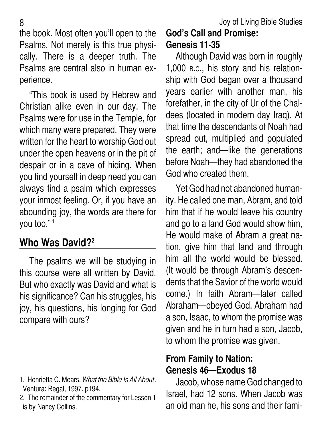the book. Most often you'll open to the Psalms. Not merely is this true physically. There is a deeper truth. The Psalms are central also in human experience.

"This book is used by Hebrew and Christian alike even in our day. The Psalms were for use in the Temple, for which many were prepared. They were written for the heart to worship God out under the open heavens or in the pit of despair or in a cave of hiding. When you find yourself in deep need you can always find a psalm which expresses your inmost feeling. Or, if you have an abounding joy, the words are there for you too." 1

# **Who Was David?2**

The psalms we will be studying in this course were all written by David. But who exactly was David and what is his significance? Can his struggles, his joy, his questions, his longing for God compare with ours?

## **God's Call and Promise: Genesis 11-35**

Although David was born in roughly 1,000 b.c., his story and his relationship with God began over a thousand years earlier with another man, his forefather, in the city of Ur of the Chaldees (located in modern day Iraq). At that time the descendants of Noah had spread out, multiplied and populated the earth; and—like the generations before Noah—they had abandoned the God who created them.

Yet God had not abandoned humanity. He called one man, Abram, and told him that if he would leave his country and go to a land God would show him, He would make of Abram a great nation, give him that land and through him all the world would be blessed. (It would be through Abram's descendents that the Savior of the world would come.) In faith Abram—later called Abraham—obeyed God. Abraham had a son, Isaac, to whom the promise was given and he in turn had a son, Jacob, to whom the promise was given.

#### **From Family to Nation: Genesis 46—Exodus 18**

Jacob, whose name God changed to Israel, had 12 sons. When Jacob was an old man he, his sons and their fami-

<sup>1.</sup> Henrietta C. Mears. What the Bible Is All About. Ventura: Regal, 1997. p194.

<sup>2.</sup> The remainder of the commentary for Lesson 1 is by Nancy Collins.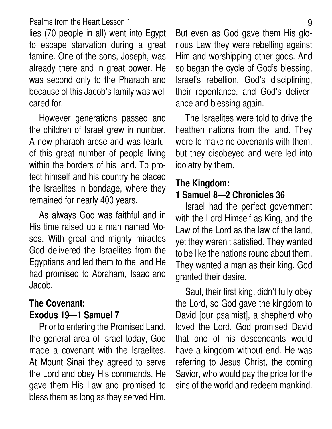#### Psalms from the Heart Lesson 1

lies (70 people in all) went into Egypt to escape starvation during a great famine. One of the sons, Joseph, was already there and in great power. He was second only to the Pharaoh and because of this Jacob's family was well cared for.

However generations passed and the children of Israel grew in number. A new pharaoh arose and was fearful of this great number of people living within the borders of his land. To protect himself and his country he placed the Israelites in bondage, where they remained for nearly 400 years.

As always God was faithful and in His time raised up a man named Moses. With great and mighty miracles God delivered the Israelites from the Egyptians and led them to the land He had promised to Abraham, Isaac and Jacob.

#### **The Covenant: Exodus 19—1 Samuel 7**

Prior to entering the Promised Land, the general area of Israel today, God made a covenant with the Israelites. At Mount Sinai they agreed to serve the Lord and obey His commands. He gave them His Law and promised to bless them as long as they served Him.

But even as God gave them His glorious Law they were rebelling against Him and worshipping other gods. And so began the cycle of God's blessing, Israel's rebellion, God's disciplining, their repentance, and God's deliverance and blessing again.

The Israelites were told to drive the heathen nations from the land. They were to make no covenants with them, but they disobeyed and were led into idolatry by them.

#### **The Kingdom: 1 Samuel 8—2 Chronicles 36**

Israel had the perfect government with the Lord Himself as King, and the Law of the Lord as the law of the land, yet they weren't satisfied. They wanted to be like the nations round about them. They wanted a man as their king. God granted their desire.

Saul, their first king, didn't fully obey the Lord, so God gave the kingdom to David [our psalmist], a shepherd who loved the Lord. God promised David that one of his descendants would have a kingdom without end. He was referring to Jesus Christ, the coming Savior, who would pay the price for the sins of the world and redeem mankind.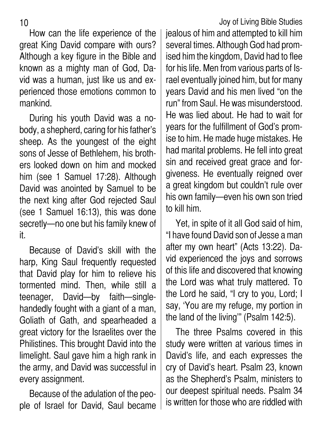How can the life experience of the great King David compare with ours? Although a key figure in the Bible and known as a mighty man of God, David was a human, just like us and experienced those emotions common to mankind.

During his youth David was a nobody, a shepherd, caring for his father's sheep. As the youngest of the eight sons of Jesse of Bethlehem, his brothers looked down on him and mocked him (see 1 Samuel 17:28). Although David was anointed by Samuel to be the next king after God rejected Saul (see 1 Samuel 16:13), this was done secretly—no one but his family knew of it.

Because of David's skill with the harp, King Saul frequently requested that David play for him to relieve his tormented mind. Then, while still a teenager, David—by faith—singlehandedly fought with a giant of a man, Goliath of Gath, and spearheaded a great victory for the Israelites over the Philistines. This brought David into the limelight. Saul gave him a high rank in the army, and David was successful in every assignment.

Because of the adulation of the people of Israel for David, Saul became

10 **10** Joy of Living Bible Studies jealous of him and attempted to kill him several times. Although God had promised him the kingdom, David had to flee for his life. Men from various parts of Israel eventually joined him, but for many years David and his men lived "on the run" from Saul. He was misunderstood. He was lied about. He had to wait for years for the fulfillment of God's promise to him. He made huge mistakes. He had marital problems. He fell into great sin and received great grace and forgiveness. He eventually reigned over a great kingdom but couldn't rule over his own family—even his own son tried to kill him.

> Yet, in spite of it all God said of him, "I have found David son of Jesse a man after my own heart" (Acts 13:22). David experienced the joys and sorrows of this life and discovered that knowing the Lord was what truly mattered. To the Lord he said, "I cry to you, Lord; I say, 'You are my refuge, my portion in the land of the living'" (Psalm 142:5).

> The three Psalms covered in this study were written at various times in David's life, and each expresses the cry of David's heart. Psalm 23, known as the Shepherd's Psalm, ministers to our deepest spiritual needs. Psalm 34 is written for those who are riddled with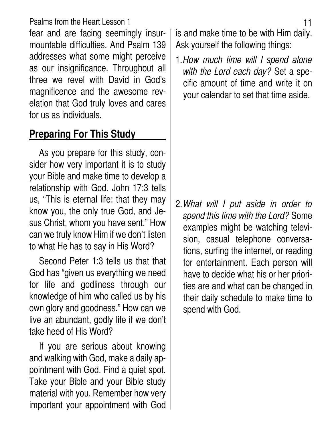#### Psalms from the Heart Lesson 1

fear and are facing seemingly insurmountable difficulties. And Psalm 139 addresses what some might perceive as our insignificance. Throughout all three we revel with David in God's magnificence and the awesome revelation that God truly loves and cares for us as individuals.

#### **Preparing For This Study**

As you prepare for this study, consider how very important it is to study your Bible and make time to develop a relationship with God. John 17:3 tells us, "This is eternal life: that they may know you, the only true God, and Jesus Christ, whom you have sent." How can we truly know Him if we don't listen to what He has to say in His Word?

Second Peter 1:3 tells us that that God has "given us everything we need for life and godliness through our knowledge of him who called us by his own glory and goodness." How can we live an abundant, godly life if we don't take heed of His Word?

If you are serious about knowing and walking with God, make a daily appointment with God. Find a quiet spot. Take your Bible and your Bible study material with you. Remember how very important your appointment with God

is and make time to be with Him daily. Ask yourself the following things:

1. How much time will I spend alone with the Lord each day? Set a specific amount of time and write it on your calendar to set that time aside.

2.What will I put aside in order to spend this time with the Lord? Some examples might be watching television, casual telephone conversations, surfing the internet, or reading for entertainment. Each person will have to decide what his or her priorities are and what can be changed in their daily schedule to make time to spend with God.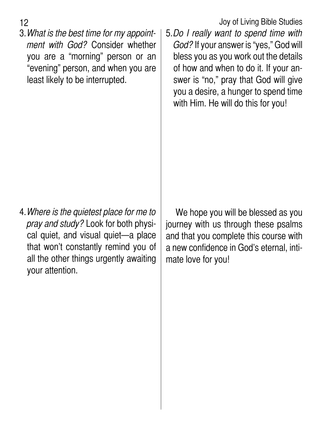3.What is the best time for my appointment with God? Consider whether you are a "morning" person or an "evening" person, and when you are least likely to be interrupted.

4.Where is the quietest place for me to pray and study? Look for both physical quiet, and visual quiet—a place that won't constantly remind you of all the other things urgently awaiting your attention.

12 **12** Joy of Living Bible Studies 5.Do I really want to spend time with God? If your answer is "yes," God will bless you as you work out the details of how and when to do it. If your answer is "no," pray that God will give you a desire, a hunger to spend time with Him. He will do this for you!

> We hope you will be blessed as you journey with us through these psalms and that you complete this course with a new confidence in God's eternal, intimate love for you!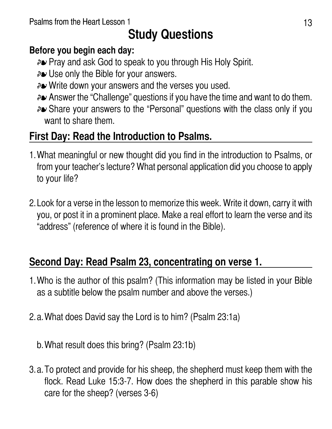# **Study Questions**

#### **Before you begin each day:**

- ɶPray and ask God to speak to you through His Holy Spirit.
- ɶUse only the Bible for your answers.
- ɶWrite down your answers and the verses you used.
- ɶAnswer the "Challenge" questions if you have the time and want to do them.
- ɶShare your answers to the "Personal" questions with the class only if you want to share them.

# **First Day: Read the Introduction to Psalms.**

- 1.What meaningful or new thought did you find in the introduction to Psalms, or from your teacher's lecture? What personal application did you choose to apply to your life?
- 2.Look for a verse in the lesson to memorize this week. Write it down, carry it with you, or post it in a prominent place. Make a real effort to learn the verse and its "address" (reference of where it is found in the Bible).

# **Second Day: Read Psalm 23, concentrating on verse 1.**

- 1.Who is the author of this psalm? (This information may be listed in your Bible as a subtitle below the psalm number and above the verses.)
- 2.a.What does David say the Lord is to him? (Psalm 23:1a)

b.What result does this bring? (Psalm 23:1b)

3.a.To protect and provide for his sheep, the shepherd must keep them with the flock. Read Luke 15:3-7. How does the shepherd in this parable show his care for the sheep? (verses 3-6)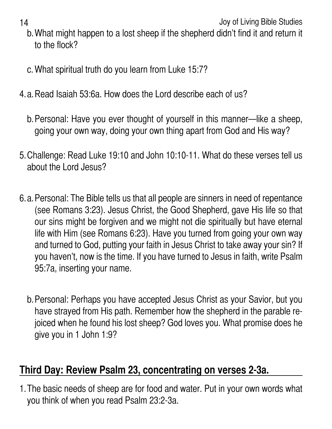- b.What might happen to a lost sheep if the shepherd didn't find it and return it to the flock?
- c.What spiritual truth do you learn from Luke 15:7?
- 4.a.Read Isaiah 53:6a. How does the Lord describe each of us?
	- b.Personal: Have you ever thought of yourself in this manner—like a sheep, going your own way, doing your own thing apart from God and His way?
- 5.Challenge: Read Luke 19:10 and John 10:10-11. What do these verses tell us about the Lord Jesus?
- 6.a.Personal: The Bible tells us that all people are sinners in need of repentance (see Romans 3:23). Jesus Christ, the Good Shepherd, gave His life so that our sins might be forgiven and we might not die spiritually but have eternal life with Him (see Romans 6:23). Have you turned from going your own way and turned to God, putting your faith in Jesus Christ to take away your sin? If you haven't, now is the time. If you have turned to Jesus in faith, write Psalm 95:7a, inserting your name.
	- b.Personal: Perhaps you have accepted Jesus Christ as your Savior, but you have strayed from His path. Remember how the shepherd in the parable rejoiced when he found his lost sheep? God loves you. What promise does he give you in 1 John 1:9?

#### **Third Day: Review Psalm 23, concentrating on verses 2-3a.**

1.The basic needs of sheep are for food and water. Put in your own words what you think of when you read Psalm 23:2-3a.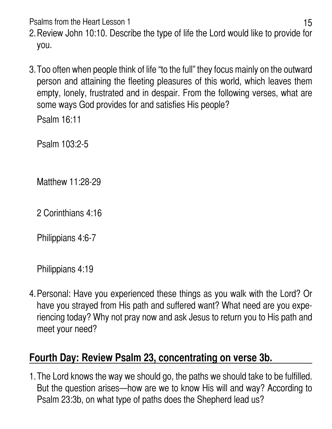Psalms from the Heart Lesson 1 15

- 2.Review John 10:10. Describe the type of life the Lord would like to provide for you.
- 3.Too often when people think of life "to the full" they focus mainly on the outward person and attaining the fleeting pleasures of this world, which leaves them empty, lonely, frustrated and in despair. From the following verses, what are some ways God provides for and satisfies His people?

Psalm 16:11

Psalm 103:2-5

Matthew 11:28-29

2 Corinthians 4:16

Philippians 4:6-7

Philippians 4:19

4.Personal: Have you experienced these things as you walk with the Lord? Or have you strayed from His path and suffered want? What need are you experiencing today? Why not pray now and ask Jesus to return you to His path and meet your need?

## **Fourth Day: Review Psalm 23, concentrating on verse 3b.**

1.The Lord knows the way we should go, the paths we should take to be fulfilled. But the question arises—how are we to know His will and way? According to Psalm 23:3b, on what type of paths does the Shepherd lead us?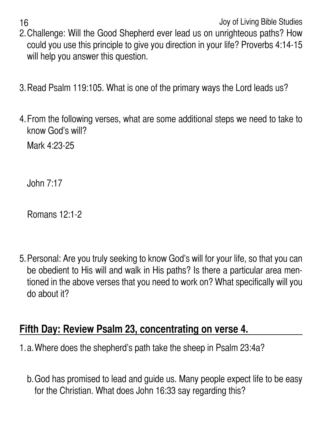16 **Joy of Living Bible Studies** 

- 2.Challenge: Will the Good Shepherd ever lead us on unrighteous paths? How could you use this principle to give you direction in your life? Proverbs 4:14-15 will help you answer this question.
- 3.Read Psalm 119:105. What is one of the primary ways the Lord leads us?
- 4.From the following verses, what are some additional steps we need to take to know God's will?

Mark 4:23-25

John 7:17

Romans 12:1-2

5.Personal: Are you truly seeking to know God's will for your life, so that you can be obedient to His will and walk in His paths? Is there a particular area mentioned in the above verses that you need to work on? What specifically will you do about it?

## **Fifth Day: Review Psalm 23, concentrating on verse 4.**

- 1.a.Where does the shepherd's path take the sheep in Psalm 23:4a?
	- b.God has promised to lead and guide us. Many people expect life to be easy for the Christian. What does John 16:33 say regarding this?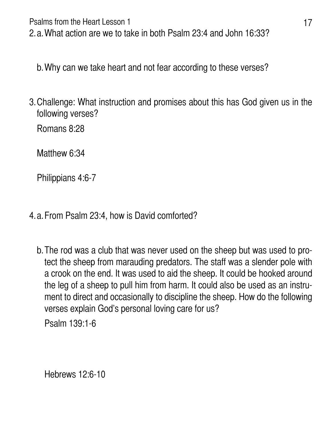b.Why can we take heart and not fear according to these verses?

3.Challenge: What instruction and promises about this has God given us in the following verses?

Romans 8:28

Matthew 6:34

Philippians 4:6-7

- 4.a.From Psalm 23:4, how is David comforted?
	- b.The rod was a club that was never used on the sheep but was used to protect the sheep from marauding predators. The staff was a slender pole with a crook on the end. It was used to aid the sheep. It could be hooked around the leg of a sheep to pull him from harm. It could also be used as an instrument to direct and occasionally to discipline the sheep. How do the following verses explain God's personal loving care for us?

Psalm 139:1-6

Hebrews 12:6-10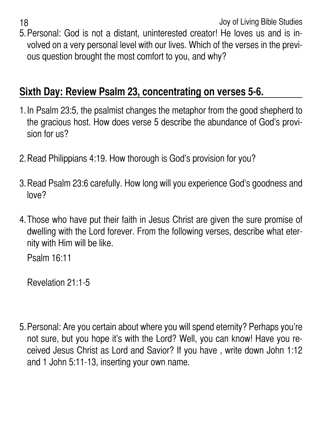18 Joy of Living Bible Studies 5.Personal: God is not a distant, uninterested creator! He loves us and is involved on a very personal level with our lives. Which of the verses in the previous question brought the most comfort to you, and why?

#### **Sixth Day: Review Psalm 23, concentrating on verses 5-6.**

- 1.In Psalm 23:5, the psalmist changes the metaphor from the good shepherd to the gracious host. How does verse 5 describe the abundance of God's provision for us?
- 2.Read Philippians 4:19. How thorough is God's provision for you?
- 3.Read Psalm 23:6 carefully. How long will you experience God's goodness and love?
- 4.Those who have put their faith in Jesus Christ are given the sure promise of dwelling with the Lord forever. From the following verses, describe what eternity with Him will be like.

Psalm 16:11

Revelation 21:1-5

5.Personal: Are you certain about where you will spend eternity? Perhaps you're not sure, but you hope it's with the Lord? Well, you can know! Have you received Jesus Christ as Lord and Savior? If you have , write down John 1:12 and 1 John 5:11-13, inserting your own name.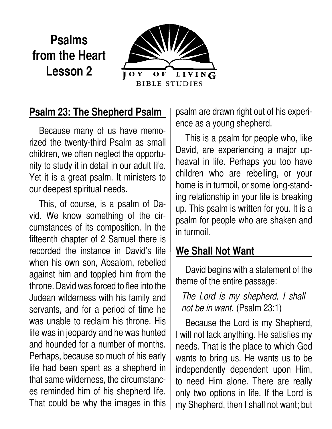# **Psalms from the Heart Lesson 2**



## **Psalm 23: The Shepherd Psalm**

Because many of us have memorized the twenty-third Psalm as small children, we often neglect the opportunity to study it in detail in our adult life. Yet it is a great psalm. It ministers to our deepest spiritual needs.

This, of course, is a psalm of David. We know something of the circumstances of its composition. In the fifteenth chapter of 2 Samuel there is recorded the instance in David's life when his own son, Absalom, rebelled against him and toppled him from the throne. David was forced to flee into the Judean wilderness with his family and servants, and for a period of time he was unable to reclaim his throne. His life was in jeopardy and he was hunted and hounded for a number of months. Perhaps, because so much of his early life had been spent as a shepherd in that same wilderness, the circumstances reminded him of his shepherd life. That could be why the images in this

psalm are drawn right out of his experience as a young shepherd.

This is a psalm for people who, like David, are experiencing a major upheaval in life. Perhaps you too have children who are rebelling, or your home is in turmoil, or some long-standing relationship in your life is breaking up. This psalm is written for you. It is a psalm for people who are shaken and in turmoil.

## **We Shall Not Want**

David begins with a statement of the theme of the entire passage:

The Lord is my shepherd, I shall not be in want. (Psalm 23:1)

Because the Lord is my Shepherd, I will not lack anything. He satisfies my needs. That is the place to which God wants to bring us. He wants us to be independently dependent upon Him, to need Him alone. There are really only two options in life. If the Lord is my Shepherd, then I shall not want; but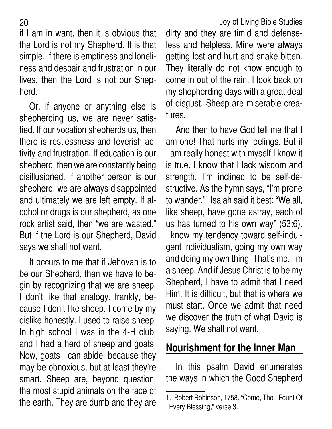if I am in want, then it is obvious that the Lord is not my Shepherd. It is that simple. If there is emptiness and loneliness and despair and frustration in our lives, then the Lord is not our Shepherd.

Or, if anyone or anything else is shepherding us, we are never satisfied. If our vocation shepherds us, then there is restlessness and feverish activity and frustration. If education is our shepherd, then we are constantly being disillusioned. If another person is our shepherd, we are always disappointed and ultimately we are left empty. If alcohol or drugs is our shepherd, as one rock artist said, then "we are wasted." But if the Lord is our Shepherd, David says we shall not want.

It occurs to me that if Jehovah is to be our Shepherd, then we have to begin by recognizing that we are sheep. I don't like that analogy, frankly, because I don't like sheep. I come by my dislike honestly. I used to raise sheep. In high school I was in the 4-H club, and I had a herd of sheep and goats. Now, goats I can abide, because they may be obnoxious, but at least they're smart. Sheep are, beyond question, the most stupid animals on the face of the earth. They are dumb and they are

20 **20 Joy of Living Bible Studies** dirty and they are timid and defenseless and helpless. Mine were always getting lost and hurt and snake bitten. They literally do not know enough to come in out of the rain. I look back on my shepherding days with a great deal of disgust. Sheep are miserable creatures.

> And then to have God tell me that I am one! That hurts my feelings. But if I am really honest with myself I know it is true. I know that I lack wisdom and strength. I'm inclined to be self-destructive. As the hymn says, "I'm prone to wander."<sup>1</sup> Isaiah said it best: "We all, like sheep, have gone astray, each of us has turned to his own way" (53:6). I know my tendency toward self-indulgent individualism, going my own way and doing my own thing. That's me. I'm a sheep. And if Jesus Christ is to be my Shepherd, I have to admit that I need Him. It is difficult, but that is where we must start. Once we admit that need we discover the truth of what David is saying. We shall not want.

## **Nourishment for the Inner Man**

In this psalm David enumerates the ways in which the Good Shepherd

<sup>1.</sup> Robert Robinson, 1758. "Come, Thou Fount Of Every Blessing," verse 3.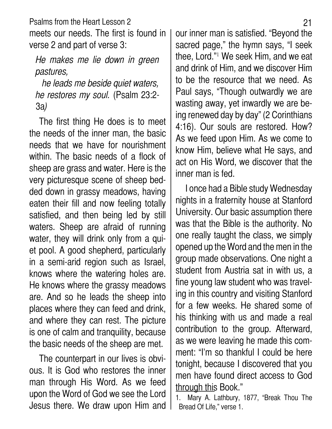meets our needs. The first is found in verse 2 and part of verse 3: Psalms from the Heart Lesson 2

He makes me lie down in green pastures,

he leads me beside quiet waters, he restores my soul. (Psalm 23:2- 3a)

The first thing He does is to meet the needs of the inner man, the basic needs that we have for nourishment within. The basic needs of a flock of sheep are grass and water. Here is the very picturesque scene of sheep bedded down in grassy meadows, having eaten their fill and now feeling totally satisfied, and then being led by still waters. Sheep are afraid of running water, they will drink only from a quiet pool. A good shepherd, particularly in a semi-arid region such as Israel, knows where the watering holes are. He knows where the grassy meadows are. And so he leads the sheep into places where they can feed and drink, and where they can rest. The picture is one of calm and tranquility, because the basic needs of the sheep are met.

The counterpart in our lives is obvious. It is God who restores the inner man through His Word. As we feed upon the Word of God we see the Lord Jesus there. We draw upon Him and

our inner man is satisfied. "Beyond the sacred page," the hymn says, "I seek thee, Lord."<sup>1</sup> We seek Him, and we eat and drink of Him, and we discover Him to be the resource that we need. As Paul says, "Though outwardly we are wasting away, yet inwardly we are being renewed day by day" (2 Corinthians 4:16). Our souls are restored. How? As we feed upon Him. As we come to know Him, believe what He says, and act on His Word, we discover that the inner man is fed.

I once had a Bible study Wednesday nights in a fraternity house at Stanford University. Our basic assumption there was that the Bible is the authority. No one really taught the class, we simply opened up the Word and the men in the group made observations. One night a student from Austria sat in with us, a fine young law student who was traveling in this country and visiting Stanford for a few weeks. He shared some of his thinking with us and made a real contribution to the group. Afterward, as we were leaving he made this comment: "I'm so thankful I could be here tonight, because I discovered that you men have found direct access to God through this Book."

<sup>1.</sup> Mary A. Lathbury, 1877, "Break Thou The Bread Of Life," verse 1.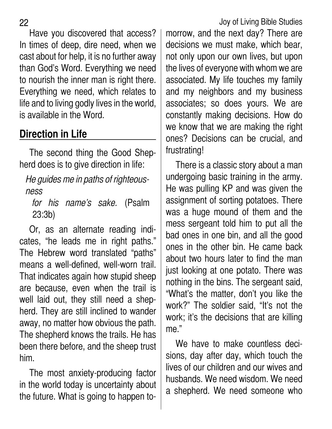Have you discovered that access? In times of deep, dire need, when we cast about for help, it is no further away than God's Word. Everything we need to nourish the inner man is right there. Everything we need, which relates to life and to living godly lives in the world, is available in the Word.

## **Direction in Life**

The second thing the Good Shepherd does is to give direction in life:

He guides me in paths of righteousness

for his name's sake. (Psalm 23:3b)

Or, as an alternate reading indicates, "he leads me in right paths." The Hebrew word translated "paths" means a well-defined, well-worn trail. That indicates again how stupid sheep are because, even when the trail is well laid out, they still need a shepherd. They are still inclined to wander away, no matter how obvious the path. The shepherd knows the trails. He has been there before, and the sheep trust him.

The most anxiety-producing factor in the world today is uncertainty about the future. What is going to happen to-

22 **22** Joy of Living Bible Studies morrow, and the next day? There are decisions we must make, which bear, not only upon our own lives, but upon the lives of everyone with whom we are associated. My life touches my family and my neighbors and my business associates; so does yours. We are constantly making decisions. How do we know that we are making the right ones? Decisions can be crucial, and frustrating!

> There is a classic story about a man undergoing basic training in the army. He was pulling KP and was given the assignment of sorting potatoes. There was a huge mound of them and the mess sergeant told him to put all the bad ones in one bin, and all the good ones in the other bin. He came back about two hours later to find the man just looking at one potato. There was nothing in the bins. The sergeant said, "What's the matter, don't you like the work?" The soldier said, "It's not the work; it's the decisions that are killing me."

> We have to make countless decisions, day after day, which touch the lives of our children and our wives and husbands. We need wisdom. We need a shepherd. We need someone who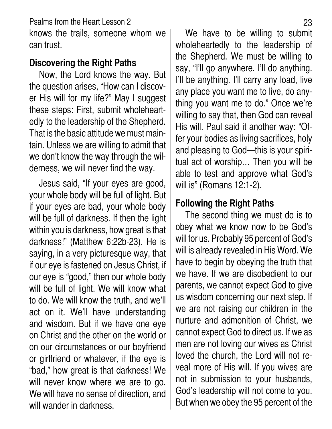knows the trails, someone whom we can trust. Psalms from the Heart Lesson 2

#### **Discovering the Right Paths**

Now, the Lord knows the way. But the question arises, "How can I discover His will for my life?" May I suggest these steps: First, submit wholeheartedly to the leadership of the Shepherd. That is the basic attitude we must maintain. Unless we are willing to admit that we don't know the way through the wilderness, we will never find the way.

Jesus said, "If your eyes are good, your whole body will be full of light. But if your eyes are bad, your whole body will be full of darkness. If then the light within you is darkness, how great is that darkness!" (Matthew 6:22b-23). He is saying, in a very picturesque way, that if our eye is fastened on Jesus Christ, if our eye is "good," then our whole body will be full of light. We will know what to do. We will know the truth, and we'll act on it. We'll have understanding and wisdom. But if we have one eye on Christ and the other on the world or on our circumstances or our boyfriend or girlfriend or whatever, if the eye is "bad," how great is that darkness! We will never know where we are to go. We will have no sense of direction, and will wander in darkness.

We have to be willing to submit wholeheartedly to the leadership of the Shepherd. We must be willing to say, "I'll go anywhere. I'll do anything. I'll be anything. I'll carry any load, live any place you want me to live, do anything you want me to do." Once we're willing to say that, then God can reveal His will. Paul said it another way: "Offer your bodies as living sacrifices, holy and pleasing to God—this is your spiritual act of worship… Then you will be able to test and approve what God's will is" (Romans 12:1-2).

#### **Following the Right Paths**

The second thing we must do is to obey what we know now to be God's will for us. Probably 95 percent of God's will is already revealed in His Word. We have to begin by obeying the truth that we have. If we are disobedient to our parents, we cannot expect God to give us wisdom concerning our next step. If we are not raising our children in the nurture and admonition of Christ, we cannot expect God to direct us. If we as men are not loving our wives as Christ loved the church, the Lord will not reveal more of His will. If you wives are not in submission to your husbands, God's leadership will not come to you. But when we obey the 95 percent of the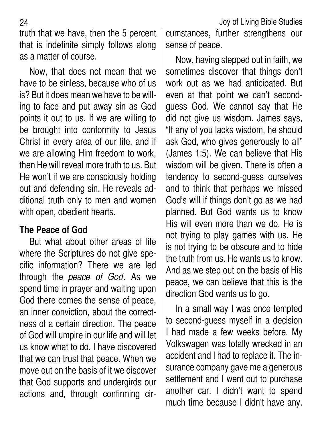truth that we have, then the 5 percent that is indefinite simply follows along as a matter of course.

Now, that does not mean that we have to be sinless, because who of us is? But it does mean we have to be willing to face and put away sin as God points it out to us. If we are willing to be brought into conformity to Jesus Christ in every area of our life, and if we are allowing Him freedom to work, then He will reveal more truth to us. But He won't if we are consciously holding out and defending sin. He reveals additional truth only to men and women with open, obedient hearts.

#### **The Peace of God**

But what about other areas of life where the Scriptures do not give specific information? There we are led through the peace of God. As we spend time in prayer and waiting upon God there comes the sense of peace, an inner conviction, about the correctness of a certain direction. The peace of God will umpire in our life and will let us know what to do. I have discovered that we can trust that peace. When we move out on the basis of it we discover that God supports and undergirds our actions and, through confirming cir-

24 **Joy of Living Bible Studies** cumstances, further strengthens our sense of peace.

> Now, having stepped out in faith, we sometimes discover that things don't work out as we had anticipated. But even at that point we can't secondguess God. We cannot say that He did not give us wisdom. James says, "If any of you lacks wisdom, he should ask God, who gives generously to all" (James 1:5). We can believe that His wisdom will be given. There is often a tendency to second-guess ourselves and to think that perhaps we missed God's will if things don't go as we had planned. But God wants us to know His will even more than we do. He is not trying to play games with us. He is not trying to be obscure and to hide the truth from us. He wants us to know. And as we step out on the basis of His peace, we can believe that this is the direction God wants us to go.

> In a small way I was once tempted to second-guess myself in a decision I had made a few weeks before. My Volkswagen was totally wrecked in an accident and I had to replace it. The insurance company gave me a generous settlement and I went out to purchase another car. I didn't want to spend much time because I didn't have any.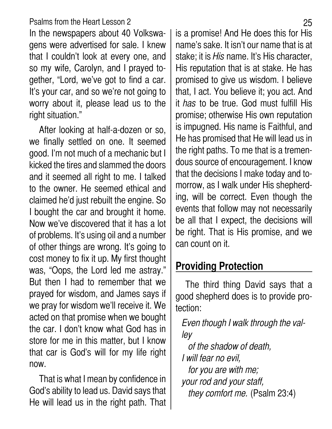#### Psalms from the Heart Lesson 2 25

In the newspapers about 40 Volkswagens were advertised for sale. I knew that I couldn't look at every one, and so my wife, Carolyn, and I prayed together, "Lord, we've got to find a car. It's your car, and so we're not going to worry about it, please lead us to the right situation."

After looking at half-a-dozen or so, we finally settled on one. It seemed good. I'm not much of a mechanic but I kicked the tires and slammed the doors and it seemed all right to me. I talked to the owner. He seemed ethical and claimed he'd just rebuilt the engine. So I bought the car and brought it home. Now we've discovered that it has a lot of problems. It's using oil and a number of other things are wrong. It's going to cost money to fix it up. My first thought was, "Oops, the Lord led me astray." But then I had to remember that we prayed for wisdom, and James says if we pray for wisdom we'll receive it. We acted on that promise when we bought the car. I don't know what God has in store for me in this matter, but I know that car is God's will for my life right now.

That is what I mean by confidence in God's ability to lead us. David says that He will lead us in the right path. That

is a promise! And He does this for His name's sake. It isn't our name that is at stake; it is *His* name. It's His character, His reputation that is at stake. He has promised to give us wisdom. I believe that, I act. You believe it; you act. And it has to be true. God must fulfill His promise; otherwise His own reputation is impugned. His name is Faithful, and He has promised that He will lead us in the right paths. To me that is a tremendous source of encouragement. I know that the decisions I make today and tomorrow, as I walk under His shepherding, will be correct. Even though the events that follow may not necessarily be all that I expect, the decisions will be right. That is His promise, and we can count on it.

#### **Providing Protection**

The third thing David says that a good shepherd does is to provide protection:

Even though I walk through the valley

of the shadow of death, I will fear no evil, for you are with me; your rod and your staff, they comfort me. (Psalm 23:4)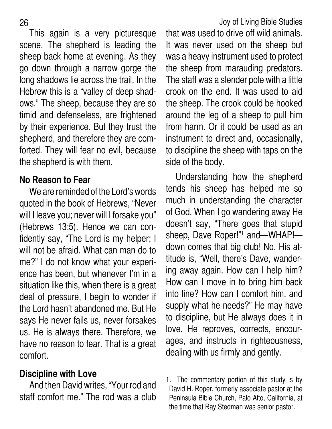This again is a very picturesque scene. The shepherd is leading the sheep back home at evening. As they go down through a narrow gorge the long shadows lie across the trail. In the Hebrew this is a "valley of deep shadows." The sheep, because they are so timid and defenseless, are frightened by their experience. But they trust the shepherd, and therefore they are comforted. They will fear no evil, because the shepherd is with them.

#### **No Reason to Fear**

We are reminded of the Lord's words quoted in the book of Hebrews, "Never will I leave you; never will I forsake you" (Hebrews 13:5). Hence we can confidently say, "The Lord is my helper; I will not be afraid. What can man do to me?" I do not know what your experience has been, but whenever I'm in a situation like this, when there is a great deal of pressure, I begin to wonder if the Lord hasn't abandoned me. But He says He never fails us, never forsakes us. He is always there. Therefore, we have no reason to fear. That is a great comfort.

#### **Discipline with Love**

And then David writes, "Your rod and staff comfort me." The rod was a club

26 Joy of Living Bible Studies

that was used to drive off wild animals. It was never used on the sheep but was a heavy instrument used to protect the sheep from marauding predators. The staff was a slender pole with a little crook on the end. It was used to aid the sheep. The crook could be hooked around the leg of a sheep to pull him from harm. Or it could be used as an instrument to direct and, occasionally, to discipline the sheep with taps on the side of the body.

Understanding how the shepherd tends his sheep has helped me so much in understanding the character of God. When I go wandering away He doesn't say, "There goes that stupid sheep, Dave Roper!"1 and—WHAP! down comes that big club! No. His attitude is, "Well, there's Dave, wandering away again. How can I help him? How can I move in to bring him back into line? How can I comfort him, and supply what he needs?" He may have to discipline, but He always does it in love. He reproves, corrects, encourages, and instructs in righteousness, dealing with us firmly and gently.

<sup>1.</sup> The commentary portion of this study is by David H. Roper, formerly associate pastor at the Peninsula Bible Church, Palo Alto, California, at the time that Ray Stedman was senior pastor.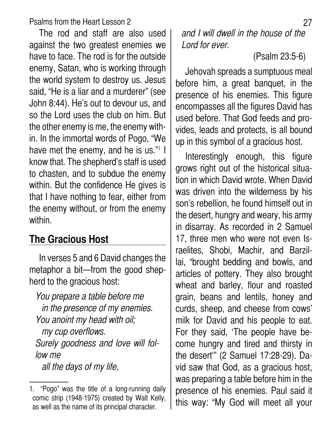Psalms from the Heart Lesson 2 27

The rod and staff are also used against the two greatest enemies we have to face. The rod is for the outside enemy, Satan, who is working through the world system to destroy us. Jesus said, "He is a liar and a murderer" (see John 8:44). He's out to devour us, and so the Lord uses the club on him. But the other enemy is me, the enemy within. In the immortal words of Pogo, "We have met the enemy, and he is us." $1$  I know that. The shepherd's staff is used to chasten, and to subdue the enemy within. But the confidence He gives is that I have nothing to fear, either from the enemy without, or from the enemy within.

#### **The Gracious Host**

In verses 5 and 6 David changes the metaphor a bit—from the good shepherd to the gracious host:

You prepare a table before me in the presence of my enemies. You anoint my head with oil; my cup overflows. Surely goodness and love will follow me all the days of my life,

and I will dwell in the house of the Lord for ever.

(Psalm 23:5-6)

Jehovah spreads a sumptuous meal before him, a great banquet, in the presence of his enemies. This figure encompasses all the figures David has used before. That God feeds and provides, leads and protects, is all bound up in this symbol of a gracious host.

Interestingly enough, this figure grows right out of the historical situation in which David wrote. When David was driven into the wilderness by his son's rebellion, he found himself out in the desert, hungry and weary, his army in disarray. As recorded in 2 Samuel 17, three men who were not even Israelites, Shobi, Machir, and Barzillai, "brought bedding and bowls, and articles of pottery. They also brought wheat and barley, flour and roasted grain, beans and lentils, honey and curds, sheep, and cheese from cows' milk for David and his people to eat. For they said, 'The people have become hungry and tired and thirsty in the desert'" (2 Samuel 17:28-29). David saw that God, as a gracious host, was preparing a table before him in the presence of his enemies. Paul said it this way: "My God will meet all your

<sup>1. &</sup>quot;Pogo" was the title of a long-running daily comic strip (1948-1975) created by Walt Kelly, as well as the name of its principal character.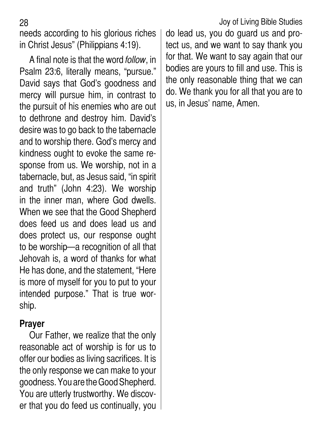needs according to his glorious riches in Christ Jesus" (Philippians 4:19).

A final note is that the word follow, in Psalm 23:6, literally means, "pursue." David says that God's goodness and mercy will pursue him, in contrast to the pursuit of his enemies who are out to dethrone and destroy him. David's desire was to go back to the tabernacle and to worship there. God's mercy and kindness ought to evoke the same response from us. We worship, not in a tabernacle, but, as Jesus said, "in spirit and truth" (John 4:23). We worship in the inner man, where God dwells. When we see that the Good Shepherd does feed us and does lead us and does protect us, our response ought to be worship—a recognition of all that Jehovah is, a word of thanks for what He has done, and the statement, "Here is more of myself for you to put to your intended purpose." That is true worship.

#### **Prayer**

Our Father, we realize that the only reasonable act of worship is for us to offer our bodies as living sacrifices. It is the only response we can make to your goodness. You are the Good Shepherd. You are utterly trustworthy. We discover that you do feed us continually, you

28 Joy of Living Bible Studies

do lead us, you do guard us and protect us, and we want to say thank you for that. We want to say again that our bodies are yours to fill and use. This is the only reasonable thing that we can do. We thank you for all that you are to us, in Jesus' name, Amen.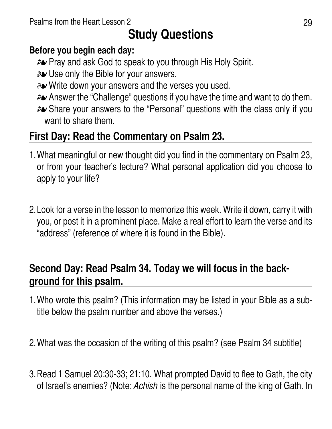# **Study Questions**

#### **Before you begin each day:**

- ɶPray and ask God to speak to you through His Holy Spirit.
- ɶUse only the Bible for your answers.
- ɶWrite down your answers and the verses you used.
- ɶAnswer the "Challenge" questions if you have the time and want to do them.
- ɶShare your answers to the "Personal" questions with the class only if you want to share them.

# **First Day: Read the Commentary on Psalm 23.**

- 1.What meaningful or new thought did you find in the commentary on Psalm 23, or from your teacher's lecture? What personal application did you choose to apply to your life?
- 2.Look for a verse in the lesson to memorize this week. Write it down, carry it with you, or post it in a prominent place. Make a real effort to learn the verse and its "address" (reference of where it is found in the Bible).

# **Second Day: Read Psalm 34. Today we will focus in the background for this psalm.**

- 1.Who wrote this psalm? (This information may be listed in your Bible as a subtitle below the psalm number and above the verses.)
- 2.What was the occasion of the writing of this psalm? (see Psalm 34 subtitle)
- 3.Read 1 Samuel 20:30-33; 21:10. What prompted David to flee to Gath, the city of Israel's enemies? (Note: Achish is the personal name of the king of Gath. In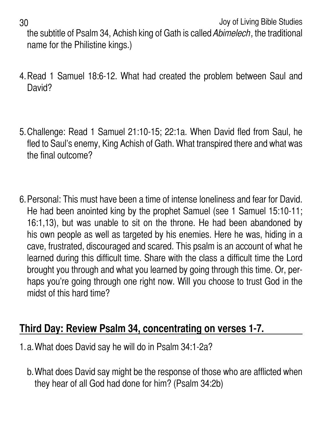the subtitle of Psalm 34, Achish king of Gath is called Abimelech, the traditional name for the Philistine kings.)

- 4.Read 1 Samuel 18:6-12. What had created the problem between Saul and David?
- 5.Challenge: Read 1 Samuel 21:10-15; 22:1a. When David fled from Saul, he fled to Saul's enemy, King Achish of Gath. What transpired there and what was the final outcome?
- 6.Personal: This must have been a time of intense loneliness and fear for David. He had been anointed king by the prophet Samuel (see 1 Samuel 15:10-11; 16:1,13), but was unable to sit on the throne. He had been abandoned by his own people as well as targeted by his enemies. Here he was, hiding in a cave, frustrated, discouraged and scared. This psalm is an account of what he learned during this difficult time. Share with the class a difficult time the Lord brought you through and what you learned by going through this time. Or, perhaps you're going through one right now. Will you choose to trust God in the midst of this hard time?

## **Third Day: Review Psalm 34, concentrating on verses 1-7.**

- 1.a.What does David say he will do in Psalm 34:1-2a?
	- b.What does David say might be the response of those who are afflicted when they hear of all God had done for him? (Psalm 34:2b)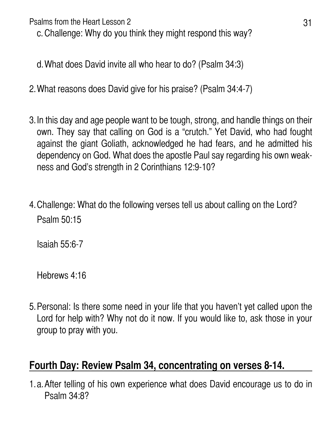Psalms from the Heart Lesson 2 31

c.Challenge: Why do you think they might respond this way?

d.What does David invite all who hear to do? (Psalm 34:3)

- 2.What reasons does David give for his praise? (Psalm 34:4-7)
- 3.In this day and age people want to be tough, strong, and handle things on their own. They say that calling on God is a "crutch." Yet David, who had fought against the giant Goliath, acknowledged he had fears, and he admitted his dependency on God. What does the apostle Paul say regarding his own weakness and God's strength in 2 Corinthians 12:9-10?
- 4.Challenge: What do the following verses tell us about calling on the Lord? Psalm 50:15

Isaiah 55:6-7

Hebrews 4:16

5.Personal: Is there some need in your life that you haven't yet called upon the Lord for help with? Why not do it now. If you would like to, ask those in your group to pray with you.

#### **Fourth Day: Review Psalm 34, concentrating on verses 8-14.**

1.a.After telling of his own experience what does David encourage us to do in Psalm 34:8?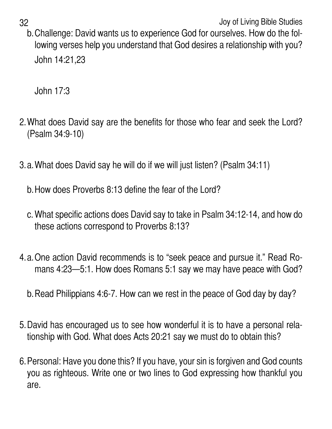32 Joy of Living Bible Studies

b.Challenge: David wants us to experience God for ourselves. How do the following verses help you understand that God desires a relationship with you? John 14:21,23

John 17:3

- 2.What does David say are the benefits for those who fear and seek the Lord? (Psalm 34:9-10)
- 3.a.What does David say he will do if we will just listen? (Psalm 34:11)
	- b.How does Proverbs 8:13 define the fear of the Lord?
	- c.What specific actions does David say to take in Psalm 34:12-14, and how do these actions correspond to Proverbs 8:13?
- 4.a.One action David recommends is to "seek peace and pursue it." Read Romans 4:23—5:1. How does Romans 5:1 say we may have peace with God?

b.Read Philippians 4:6-7. How can we rest in the peace of God day by day?

- 5.David has encouraged us to see how wonderful it is to have a personal relationship with God. What does Acts 20:21 say we must do to obtain this?
- 6.Personal: Have you done this? If you have, your sin is forgiven and God counts you as righteous. Write one or two lines to God expressing how thankful you are.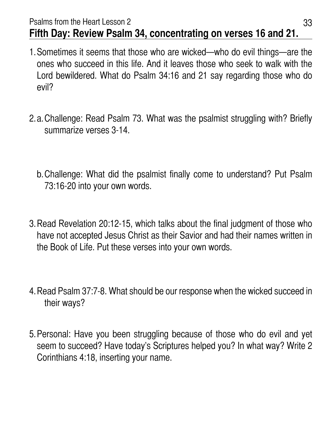#### 33 **Fifth Day: Review Psalm 34, concentrating on verses 16 and 21.** Psalms from the Heart Lesson 2

- 1.Sometimes it seems that those who are wicked—who do evil things—are the ones who succeed in this life. And it leaves those who seek to walk with the Lord bewildered. What do Psalm 34:16 and 21 say regarding those who do evil?
- 2.a.Challenge: Read Psalm 73. What was the psalmist struggling with? Briefly summarize verses 3-14.
	- b.Challenge: What did the psalmist finally come to understand? Put Psalm 73:16-20 into your own words.
- 3.Read Revelation 20:12-15, which talks about the final judgment of those who have not accepted Jesus Christ as their Savior and had their names written in the Book of Life. Put these verses into your own words.
- 4.Read Psalm 37:7-8. What should be our response when the wicked succeed in their ways?
- 5.Personal: Have you been struggling because of those who do evil and yet seem to succeed? Have today's Scriptures helped you? In what way? Write 2 Corinthians 4:18, inserting your name.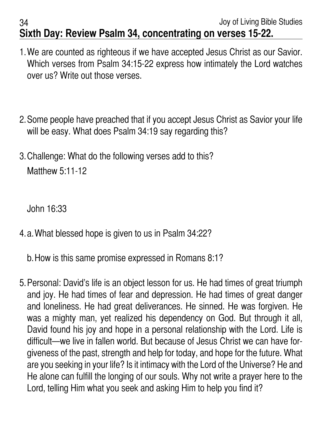#### 34 Joy of Living Bible Studies **Sixth Day: Review Psalm 34, concentrating on verses 15-22.**

- 1.We are counted as righteous if we have accepted Jesus Christ as our Savior. Which verses from Psalm 34:15-22 express how intimately the Lord watches over us? Write out those verses.
- 2.Some people have preached that if you accept Jesus Christ as Savior your life will be easy. What does Psalm 34:19 say regarding this?
- 3.Challenge: What do the following verses add to this? Matthew 5:11-12

John 16:33

4.a.What blessed hope is given to us in Psalm 34:22?

b.How is this same promise expressed in Romans 8:1?

5.Personal: David's life is an object lesson for us. He had times of great triumph and joy. He had times of fear and depression. He had times of great danger and loneliness. He had great deliverances. He sinned. He was forgiven. He was a mighty man, yet realized his dependency on God. But through it all, David found his joy and hope in a personal relationship with the Lord. Life is difficult—we live in fallen world. But because of Jesus Christ we can have forgiveness of the past, strength and help for today, and hope for the future. What are you seeking in your life? Is it intimacy with the Lord of the Universe? He and He alone can fulfill the longing of our souls. Why not write a prayer here to the Lord, telling Him what you seek and asking Him to help you find it?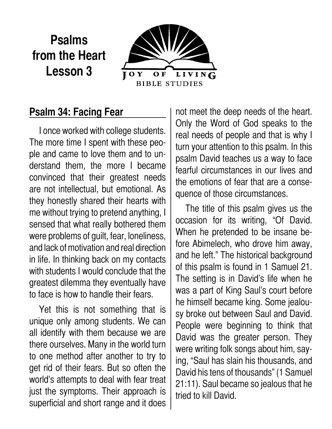# **Psalms from the Heart Lesson 3**



#### **Psalm 34: Facing Fear**

I once worked with college students. The more time I spent with these people and came to love them and to understand them, the more I became convinced that their greatest needs are not intellectual, but emotional. As they honestly shared their hearts with me without trying to pretend anything, I sensed that what really bothered them were problems of guilt, fear, loneliness, and lack of motivation and real direction in life. In thinking back on my contacts with students I would conclude that the greatest dilemma they eventually have to face is how to handle their fears.

Yet this is not something that is unique only among students. We can all identify with them because we are there ourselves. Many in the world turn to one method after another to try to get rid of their fears. But so often the world's attempts to deal with fear treat just the symptoms. Their approach is superficial and short range and it does

not meet the deep needs of the heart. Only the Word of God speaks to the real needs of people and that is why I turn your attention to this psalm. In this psalm David teaches us a way to face fearful circumstances in our lives and the emotions of fear that are a consequence of those circumstances.

The title of this psalm gives us the occasion for its writing, "Of David. When he pretended to be insane before Abimelech, who drove him away, and he left." The historical background of this psalm is found in 1 Samuel 21. The setting is in David's life when he was a part of King Saul's court before he himself became king. Some jealousy broke out between Saul and David. People were beginning to think that David was the greater person. They were writing folk songs about him, saying, "Saul has slain his thousands, and David his tens of thousands" (1 Samuel 21:11). Saul became so jealous that he tried to kill David.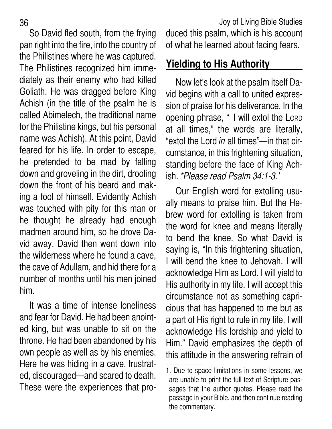So David fled south, from the frying pan right into the fire, into the country of the Philistines where he was captured. The Philistines recognized him immediately as their enemy who had killed Goliath. He was dragged before King Achish (in the title of the psalm he is called Abimelech, the traditional name for the Philistine kings, but his personal name was Achish). At this point, David feared for his life. In order to escape, he pretended to be mad by falling down and groveling in the dirt, drooling down the front of his beard and making a fool of himself. Evidently Achish was touched with pity for this man or he thought he already had enough madmen around him, so he drove David away. David then went down into the wilderness where he found a cave, the cave of Adullam, and hid there for a number of months until his men joined him.

It was a time of intense loneliness and fear for David. He had been anointed king, but was unable to sit on the throne. He had been abandoned by his own people as well as by his enemies. Here he was hiding in a cave, frustrated, discouraged—and scared to death. These were the experiences that pro-

36 Joy of Living Bible Studies duced this psalm, which is his account of what he learned about facing fears.

# **Yielding to His Authority**

Now let's look at the psalm itself David begins with a call to united expression of praise for his deliverance. In the opening phrase, " I will extol the LORD at all times," the words are literally, "extol the Lord in all times"—in that circumstance, in this frightening situation, standing before the face of King Achish. \*Please read Psalm 34:1-3.1

Our English word for extolling usually means to praise him. But the Hebrew word for extolling is taken from the word for knee and means literally to bend the knee. So what David is saying is, "In this frightening situation, I will bend the knee to Jehovah. I will acknowledge Him as Lord. I will yield to His authority in my life. I will accept this circumstance not as something capricious that has happened to me but as a part of His right to rule in my life. I will acknowledge His lordship and yield to Him." David emphasizes the depth of this attitude in the answering refrain of

<sup>1.</sup> Due to space limitations in some lessons, we are unable to print the full text of Scripture passages that the author quotes. Please read the passage in your Bible, and then continue reading the commentary.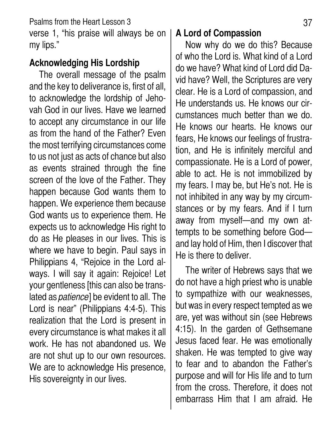verse 1, "his praise will always be on my lips." Psalms from the Heart Lesson 3

#### **Acknowledging His Lordship**

The overall message of the psalm and the key to deliverance is, first of all, to acknowledge the lordship of Jehovah God in our lives. Have we learned to accept any circumstance in our life as from the hand of the Father? Even the most terrifying circumstances come to us not just as acts of chance but also as events strained through the fine screen of the love of the Father. They happen because God wants them to happen. We experience them because God wants us to experience them. He expects us to acknowledge His right to do as He pleases in our lives. This is where we have to begin. Paul says in Philippians 4, "Rejoice in the Lord always. I will say it again: Rejoice! Let your gentleness [this can also be translated as *patience*] be evident to all. The Lord is near" (Philippians 4:4-5). This realization that the Lord is present in every circumstance is what makes it all work. He has not abandoned us. We are not shut up to our own resources. We are to acknowledge His presence, His sovereignty in our lives.

#### **A Lord of Compassion**

Now why do we do this? Because of who the Lord is. What kind of a Lord do we have? What kind of Lord did David have? Well, the Scriptures are very clear. He is a Lord of compassion, and He understands us. He knows our circumstances much better than we do. He knows our hearts. He knows our fears, He knows our feelings of frustration, and He is infinitely merciful and compassionate. He is a Lord of power, able to act. He is not immobilized by my fears. I may be, but He's not. He is not inhibited in any way by my circumstances or by my fears. And if I turn away from myself—and my own attempts to be something before God and lay hold of Him, then I discover that He is there to deliver.

The writer of Hebrews says that we do not have a high priest who is unable to sympathize with our weaknesses, but was in every respect tempted as we are, yet was without sin (see Hebrews 4:15). In the garden of Gethsemane Jesus faced fear. He was emotionally shaken. He was tempted to give way to fear and to abandon the Father's purpose and will for His life and to turn from the cross. Therefore, it does not embarrass Him that I am afraid. He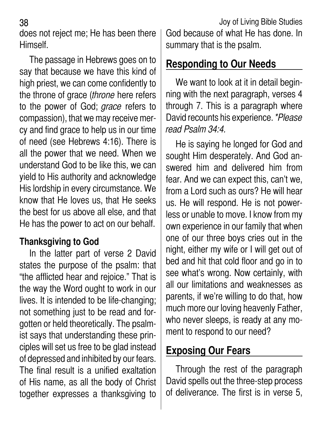does not reject me; He has been there Himself.

The passage in Hebrews goes on to say that because we have this kind of high priest, we can come confidently to the throne of grace (*throne* here refers to the power of God; *grace* refers to compassion), that we may receive mercy and find grace to help us in our time of need (see Hebrews 4:16). There is all the power that we need. When we understand God to be like this, we can yield to His authority and acknowledge His lordship in every circumstance. We know that He loves us, that He seeks the best for us above all else, and that He has the power to act on our behalf.

#### **Thanksgiving to God**

In the latter part of verse 2 David states the purpose of the psalm: that "the afflicted hear and rejoice." That is the way the Word ought to work in our lives. It is intended to be life-changing; not something just to be read and forgotten or held theoretically. The psalmist says that understanding these principles will set us free to be glad instead of depressed and inhibited by our fears. The final result is a unified exaltation of His name, as all the body of Christ together expresses a thanksgiving to

38 Joy of Living Bible Studies God because of what He has done. In summary that is the psalm.

#### **Responding to Our Needs**

We want to look at it in detail beginning with the next paragraph, verses 4 through 7. This is a paragraph where David recounts his experience. \* Please read Psalm 34:4.

He is saying he longed for God and sought Him desperately. And God answered him and delivered him from fear. And we can expect this, can't we, from a Lord such as ours? He will hear us. He will respond. He is not powerless or unable to move. I know from my own experience in our family that when one of our three boys cries out in the night, either my wife or I will get out of bed and hit that cold floor and go in to see what's wrong. Now certainly, with all our limitations and weaknesses as parents, if we're willing to do that, how much more our loving heavenly Father, who never sleeps, is ready at any moment to respond to our need?

#### **Exposing Our Fears**

Through the rest of the paragraph David spells out the three-step process of deliverance. The first is in verse 5,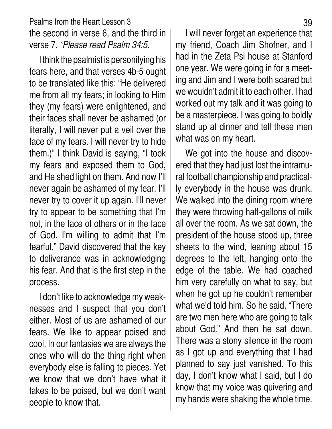the second in verse 6, and the third in verse 7. \*Please read Psalm 34:5. Psalms from the Heart Lesson 3

I think the psalmist is personifying his fears here, and that verses 4b-5 ought to be translated like this: "He delivered me from all my fears; in looking to Him they (my fears) were enlightened, and their faces shall never be ashamed (or literally, I will never put a veil over the face of my fears. I will never try to hide them.)" I think David is saying, "I took my fears and exposed them to God, and He shed light on them. And now I'll never again be ashamed of my fear. I'll never try to cover it up again. I'll never try to appear to be something that I'm not, in the face of others or in the face of God. I'm willing to admit that I'm fearful." David discovered that the key to deliverance was in acknowledging his fear. And that is the first step in the process.

I don't like to acknowledge my weaknesses and I suspect that you don't either. Most of us are ashamed of our fears. We like to appear poised and cool. In our fantasies we are always the ones who will do the thing right when everybody else is falling to pieces. Yet we know that we don't have what it takes to be poised, but we don't want people to know that.

I will never forget an experience that my friend, Coach Jim Shofner, and I had in the Zeta Psi house at Stanford one year. We were going in for a meeting and Jim and I were both scared but we wouldn't admit it to each other. I had worked out my talk and it was going to be a masterpiece. I was going to boldly stand up at dinner and tell these men what was on my heart.

We got into the house and discovered that they had just lost the intramural football championship and practically everybody in the house was drunk. We walked into the dining room where they were throwing half-gallons of milk all over the room. As we sat down, the president of the house stood up, three sheets to the wind, leaning about 15 degrees to the left, hanging onto the edge of the table. We had coached him very carefully on what to say, but when he got up he couldn't remember what we'd told him. So he said, "There are two men here who are going to talk about God." And then he sat down. There was a stony silence in the room as I got up and everything that I had planned to say just vanished. To this day, I don't know what I said, but I do know that my voice was quivering and my hands were shaking the whole time.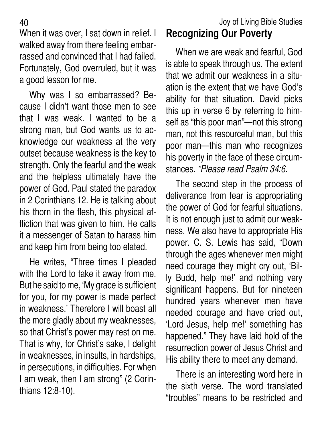When it was over, I sat down in relief. I walked away from there feeling embarrassed and convinced that I had failed. Fortunately, God overruled, but it was a good lesson for me.

Why was I so embarrassed? Because I didn't want those men to see that I was weak. I wanted to be a strong man, but God wants us to acknowledge our weakness at the very outset because weakness is the key to strength. Only the fearful and the weak and the helpless ultimately have the power of God. Paul stated the paradox in 2 Corinthians 12. He is talking about his thorn in the flesh, this physical affliction that was given to him. He calls it a messenger of Satan to harass him and keep him from being too elated.

He writes, "Three times I pleaded with the Lord to take it away from me. But he said to me, 'My grace is sufficient for you, for my power is made perfect in weakness.' Therefore I will boast all the more gladly about my weaknesses, so that Christ's power may rest on me. That is why, for Christ's sake, I delight in weaknesses, in insults, in hardships, in persecutions, in difficulties. For when I am weak, then I am strong" (2 Corinthians 12:8-10).

# **Recognizing Our Poverty**

When we are weak and fearful, God is able to speak through us. The extent that we admit our weakness in a situation is the extent that we have God's ability for that situation. David picks this up in verse 6 by referring to himself as "this poor man"—not this strong man, not this resourceful man, but this poor man—this man who recognizes his poverty in the face of these circumstances. \*Please read Psalm 34:6.

The second step in the process of deliverance from fear is appropriating the power of God for fearful situations. It is not enough just to admit our weakness. We also have to appropriate His power. C. S. Lewis has said, "Down through the ages whenever men might need courage they might cry out, 'Billy Budd, help me!' and nothing very significant happens. But for nineteen hundred years whenever men have needed courage and have cried out, 'Lord Jesus, help me!' something has happened." They have laid hold of the resurrection power of Jesus Christ and His ability there to meet any demand.

There is an interesting word here in the sixth verse. The word translated "troubles" means to be restricted and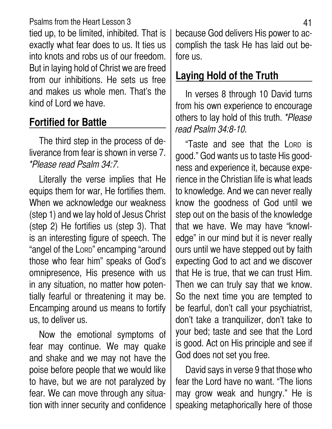Psalms from the Heart Lesson 3 41 tied up, to be limited, inhibited. That is exactly what fear does to us. It ties us into knots and robs us of our freedom. But in laying hold of Christ we are freed from our inhibitions. He sets us free and makes us whole men. That's the kind of Lord we have.

## **Fortified for Battle**

The third step in the process of deliverance from fear is shown in verse 7. \*Please read Psalm 34:7.

Literally the verse implies that He equips them for war, He fortifies them. When we acknowledge our weakness (step 1) and we lay hold of Jesus Christ (step 2) He fortifies us (step 3). That is an interesting figure of speech. The "angel of the LORD" encamping "around those who fear him" speaks of God's omnipresence, His presence with us in any situation, no matter how potentially fearful or threatening it may be. Encamping around us means to fortify us, to deliver us.

Now the emotional symptoms of fear may continue. We may quake and shake and we may not have the poise before people that we would like to have, but we are not paralyzed by fear. We can move through any situation with inner security and confidence

because God delivers His power to accomplish the task He has laid out before us.

# **Laying Hold of the Truth**

In verses 8 through 10 David turns from his own experience to encourage others to lay hold of this truth. \*Please read Psalm 34:8-10.

"Taste and see that the LORD is good." God wants us to taste His goodness and experience it, because experience in the Christian life is what leads to knowledge. And we can never really know the goodness of God until we step out on the basis of the knowledge that we have. We may have "knowledge" in our mind but it is never really ours until we have stepped out by faith expecting God to act and we discover that He is true, that we can trust Him. Then we can truly say that we know. So the next time you are tempted to be fearful, don't call your psychiatrist, don't take a tranquilizer, don't take to your bed; taste and see that the Lord is good. Act on His principle and see if God does not set you free.

David says in verse 9 that those who fear the Lord have no want. "The lions may grow weak and hungry." He is speaking metaphorically here of those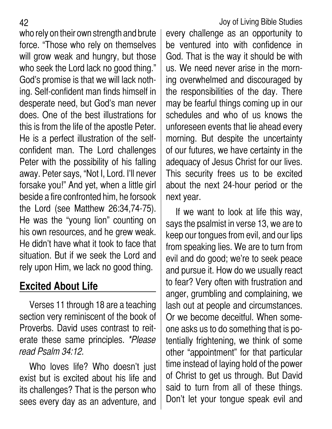who rely on their own strength and brute force. "Those who rely on themselves will grow weak and hungry, but those who seek the Lord lack no good thing." God's promise is that we will lack nothing. Self-confident man finds himself in desperate need, but God's man never does. One of the best illustrations for this is from the life of the apostle Peter. He is a perfect illustration of the selfconfident man. The Lord challenges Peter with the possibility of his falling away. Peter says, "Not I, Lord. I'll never forsake you!" And yet, when a little girl beside a fire confronted him, he forsook the Lord (see Matthew 26:34,74-75). He was the "young lion" counting on his own resources, and he grew weak. He didn't have what it took to face that situation. But if we seek the Lord and rely upon Him, we lack no good thing.

# **Excited About Life**

Verses 11 through 18 are a teaching section very reminiscent of the book of Proverbs. David uses contrast to reiterate these same principles. *\*Please* read Psalm 34:12.

Who loves life? Who doesn't just exist but is excited about his life and its challenges? That is the person who sees every day as an adventure, and

42 Joy of Living Bible Studies every challenge as an opportunity to be ventured into with confidence in God. That is the way it should be with us. We need never arise in the morning overwhelmed and discouraged by the responsibilities of the day. There may be fearful things coming up in our schedules and who of us knows the unforeseen events that lie ahead every morning. But despite the uncertainty of our futures, we have certainty in the adequacy of Jesus Christ for our lives. This security frees us to be excited about the next 24-hour period or the next year.

> If we want to look at life this way, says the psalmist in verse 13, we are to keep our tongues from evil, and our lips from speaking lies. We are to turn from evil and do good; we're to seek peace and pursue it. How do we usually react to fear? Very often with frustration and anger, grumbling and complaining, we lash out at people and circumstances. Or we become deceitful. When someone asks us to do something that is potentially frightening, we think of some other "appointment" for that particular time instead of laying hold of the power of Christ to get us through. But David said to turn from all of these things. Don't let your tongue speak evil and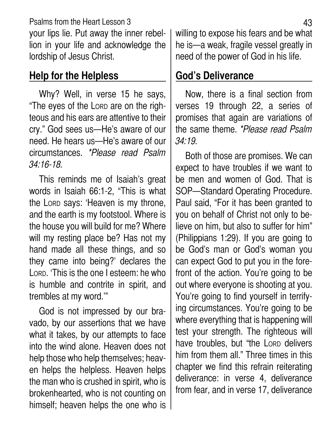Psalms from the Heart Lesson 3 43 your lips lie. Put away the inner rebellion in your life and acknowledge the lordship of Jesus Christ.

#### **Help for the Helpless**

Why? Well, in verse 15 he says, "The eyes of the Lorp are on the righteous and his ears are attentive to their cry." God sees us—He's aware of our need. He hears us—He's aware of our circumstances. \*Please read Psalm 34:16-18.

This reminds me of Isaiah's great words in Isaiah 66:1-2, "This is what the Lord says: 'Heaven is my throne, and the earth is my footstool. Where is the house you will build for me? Where will my resting place be? Has not my hand made all these things, and so they came into being?' declares the LORD. 'This is the one I esteem: he who is humble and contrite in spirit, and trembles at my word.'"

God is not impressed by our bravado, by our assertions that we have what it takes, by our attempts to face into the wind alone. Heaven does not help those who help themselves; heaven helps the helpless. Heaven helps the man who is crushed in spirit, who is brokenhearted, who is not counting on himself; heaven helps the one who is willing to expose his fears and be what he is—a weak, fragile vessel greatly in need of the power of God in his life.

#### **God's Deliverance**

Now, there is a final section from verses 19 through 22, a series of promises that again are variations of the same theme. \*Please read Psalm 34:19.

Both of those are promises. We can expect to have troubles if we want to be men and women of God. That is SOP—Standard Operating Procedure. Paul said, "For it has been granted to you on behalf of Christ not only to believe on him, but also to suffer for him" (Philippians 1:29). If you are going to be God's man or God's woman you can expect God to put you in the forefront of the action. You're going to be out where everyone is shooting at you. You're going to find yourself in terrifying circumstances. You're going to be where everything that is happening will test your strength. The righteous will have troubles, but "the Lorp delivers him from them all." Three times in this chapter we find this refrain reiterating deliverance: in verse 4, deliverance from fear, and in verse 17, deliverance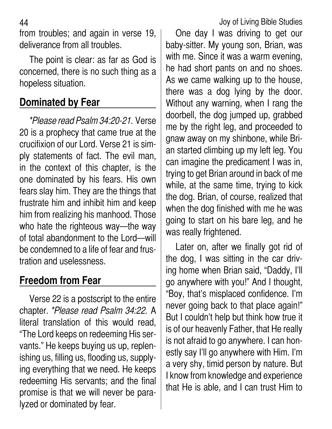from troubles; and again in verse 19, deliverance from all troubles.

The point is clear: as far as God is concerned, there is no such thing as a hopeless situation.

# **Dominated by Fear**

\*Please read Psalm 34:20-21. Verse 20 is a prophecy that came true at the crucifixion of our Lord. Verse 21 is simply statements of fact. The evil man, in the context of this chapter, is the one dominated by his fears. His own fears slay him. They are the things that frustrate him and inhibit him and keep him from realizing his manhood. Those who hate the righteous way—the way of total abandonment to the Lord—will be condemned to a life of fear and frustration and uselessness.

# **Freedom from Fear**

Verse 22 is a postscript to the entire chapter. \*Please read Psalm 34:22. A literal translation of this would read, "The Lord keeps on redeeming His servants." He keeps buying us up, replenishing us, filling us, flooding us, supplying everything that we need. He keeps redeeming His servants; and the final promise is that we will never be paralyzed or dominated by fear.

44 Joy of Living Bible Studies One day I was driving to get our baby-sitter. My young son, Brian, was with me. Since it was a warm evening, he had short pants on and no shoes. As we came walking up to the house, there was a dog lying by the door. Without any warning, when I rang the doorbell, the dog jumped up, grabbed me by the right leg, and proceeded to gnaw away on my shinbone, while Brian started climbing up my left leg. You can imagine the predicament I was in, trying to get Brian around in back of me while, at the same time, trying to kick the dog. Brian, of course, realized that when the dog finished with me he was going to start on his bare leg, and he was really frightened.

> Later on, after we finally got rid of the dog, I was sitting in the car driving home when Brian said, "Daddy, I'll go anywhere with you!" And I thought, "Boy, that's misplaced confidence. I'm never going back to that place again!" But I couldn't help but think how true it is of our heavenly Father, that He really is not afraid to go anywhere. I can honestly say I'll go anywhere with Him. I'm a very shy, timid person by nature. But I know from knowledge and experience that He is able, and I can trust Him to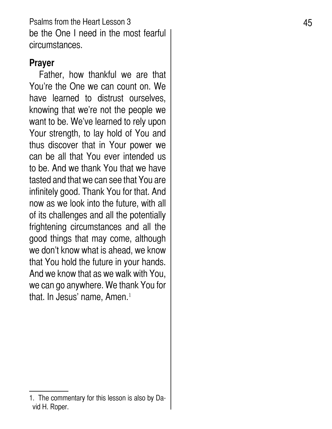be the One I need in the most fearful circumstances. Psalms from the Heart Lesson 3

#### **Prayer**

Father, how thankful we are that You're the One we can count on. We have learned to distrust ourselves, knowing that we're not the people we want to be. We've learned to rely upon Your strength, to lay hold of You and thus discover that in Your power we can be all that You ever intended us to be. And we thank You that we have tasted and that we can see that You are infinitely good. Thank You for that. And now as we look into the future, with all of its challenges and all the potentially frightening circumstances and all the good things that may come, although we don't know what is ahead, we know that You hold the future in your hands. And we know that as we walk with You, we can go anywhere. We thank You for that. In Jesus' name, Amen. $^{\rm 1}$ 

<sup>1.</sup> The commentary for this lesson is also by David H. Roper.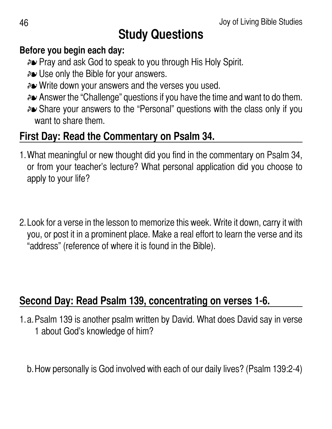# **Study Questions**

#### **Before you begin each day:**

- ɶPray and ask God to speak to you through His Holy Spirit.
- ɶUse only the Bible for your answers.
- ɶWrite down your answers and the verses you used.
- ɶAnswer the "Challenge" questions if you have the time and want to do them.
- ɶShare your answers to the "Personal" questions with the class only if you want to share them.

# **First Day: Read the Commentary on Psalm 34.**

- 1.What meaningful or new thought did you find in the commentary on Psalm 34, or from your teacher's lecture? What personal application did you choose to apply to your life?
- 2.Look for a verse in the lesson to memorize this week. Write it down, carry it with you, or post it in a prominent place. Make a real effort to learn the verse and its "address" (reference of where it is found in the Bible).

# **Second Day: Read Psalm 139, concentrating on verses 1-6.**

1.a.Psalm 139 is another psalm written by David. What does David say in verse 1 about God's knowledge of him?

b.How personally is God involved with each of our daily lives? (Psalm 139:2-4)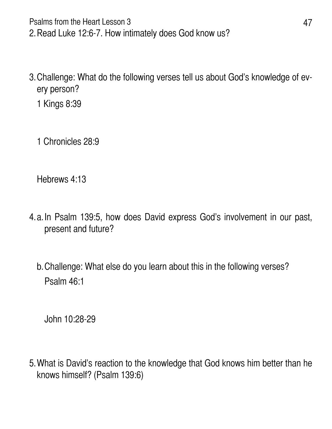Psalms from the Heart Lesson 3 47 2.Read Luke 12:6-7. How intimately does God know us?

3.Challenge: What do the following verses tell us about God's knowledge of every person?

1 Kings 8:39

1 Chronicles 28:9

Hebrews 4:13

- 4.a.In Psalm 139:5, how does David express God's involvement in our past, present and future?
	- b.Challenge: What else do you learn about this in the following verses? Psalm 46:1

John 10:28-29

5.What is David's reaction to the knowledge that God knows him better than he knows himself? (Psalm 139:6)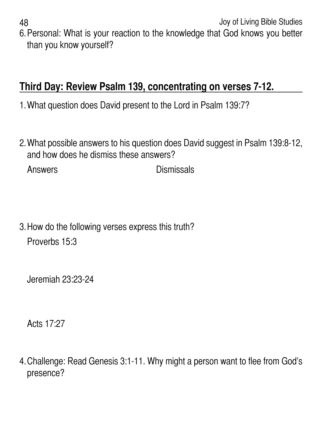48 Joy of Living Bible Studies 6.Personal: What is your reaction to the knowledge that God knows you better than you know yourself?

# **Third Day: Review Psalm 139, concentrating on verses 7-12.**

- 1.What question does David present to the Lord in Psalm 139:7?
- 2.What possible answers to his question does David suggest in Psalm 139:8-12, and how does he dismiss these answers?

Answers **Dismissals** 

3.How do the following verses express this truth? Proverbs 15:3

Jeremiah 23:23-24

Acts 17:27

4.Challenge: Read Genesis 3:1-11. Why might a person want to flee from God's presence?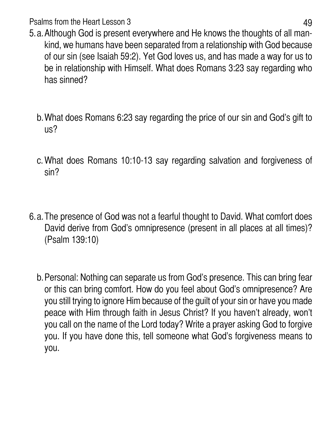Psalms from the Heart Lesson 3 49

- 5.a.Although God is present everywhere and He knows the thoughts of all mankind, we humans have been separated from a relationship with God because of our sin (see Isaiah 59:2). Yet God loves us, and has made a way for us to be in relationship with Himself. What does Romans 3:23 say regarding who has sinned?
	- b.What does Romans 6:23 say regarding the price of our sin and God's gift to us?
	- c.What does Romans 10:10-13 say regarding salvation and forgiveness of sin?
- 6.a.The presence of God was not a fearful thought to David. What comfort does David derive from God's omnipresence (present in all places at all times)? (Psalm 139:10)
	- b.Personal: Nothing can separate us from God's presence. This can bring fear or this can bring comfort. How do you feel about God's omnipresence? Are you still trying to ignore Him because of the guilt of your sin or have you made peace with Him through faith in Jesus Christ? If you haven't already, won't you call on the name of the Lord today? Write a prayer asking God to forgive you. If you have done this, tell someone what God's forgiveness means to you.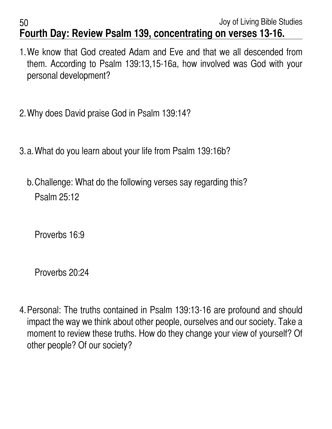#### 50 Joy of Living Bible Studies **Fourth Day: Review Psalm 139, concentrating on verses 13-16.**

- 1.We know that God created Adam and Eve and that we all descended from them. According to Psalm 139:13,15-16a, how involved was God with your personal development?
- 2.Why does David praise God in Psalm 139:14?
- 3.a.What do you learn about your life from Psalm 139:16b?
	- b.Challenge: What do the following verses say regarding this? Psalm 25:12

Proverbs 16:9

Proverbs 20:24

4.Personal: The truths contained in Psalm 139:13-16 are profound and should impact the way we think about other people, ourselves and our society. Take a moment to review these truths. How do they change your view of yourself? Of other people? Of our society?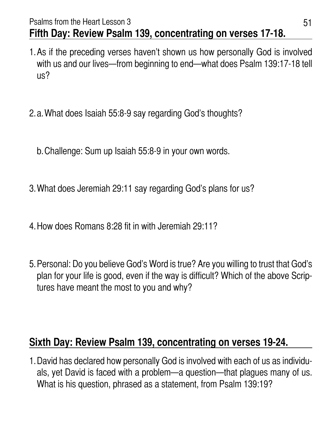#### **Fifth Day: Review Psalm 139, concentrating on verses 17-18.** Psalms from the Heart Lesson 3

- 1.As if the preceding verses haven't shown us how personally God is involved with us and our lives—from beginning to end—what does Psalm 139:17-18 tell us?
- 2.a.What does Isaiah 55:8-9 say regarding God's thoughts?
	- b.Challenge: Sum up Isaiah 55:8-9 in your own words.
- 3.What does Jeremiah 29:11 say regarding God's plans for us?
- 4.How does Romans 8:28 fit in with Jeremiah 29:11?
- 5.Personal: Do you believe God's Word is true? Are you willing to trust that God's plan for your life is good, even if the way is difficult? Which of the above Scriptures have meant the most to you and why?

## **Sixth Day: Review Psalm 139, concentrating on verses 19-24.**

1.David has declared how personally God is involved with each of us as individuals, yet David is faced with a problem—a question—that plagues many of us. What is his question, phrased as a statement, from Psalm 139:19?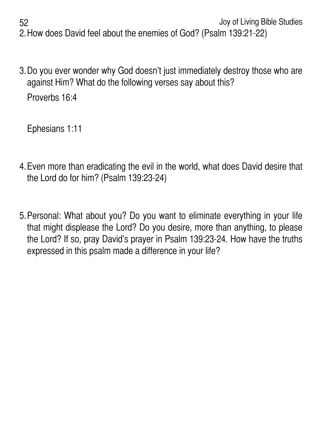52 Joy of Living Bible Studies 2.How does David feel about the enemies of God? (Psalm 139:21-22)

3.Do you ever wonder why God doesn't just immediately destroy those who are against Him? What do the following verses say about this? Proverbs 16:4

Ephesians 1:11

- 4.Even more than eradicating the evil in the world, what does David desire that the Lord do for him? (Psalm 139:23-24)
- 5.Personal: What about you? Do you want to eliminate everything in your life that might displease the Lord? Do you desire, more than anything, to please the Lord? If so, pray David's prayer in Psalm 139:23-24. How have the truths expressed in this psalm made a difference in your life?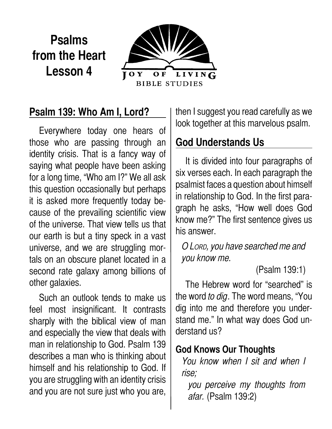# **Psalms from the Heart Lesson 4**



# **Psalm 139: Who Am I, Lord?**

Everywhere today one hears of those who are passing through an identity crisis. That is a fancy way of saying what people have been asking for a long time, "Who am I?" We all ask this question occasionally but perhaps it is asked more frequently today because of the prevailing scientific view of the universe. That view tells us that our earth is but a tiny speck in a vast universe, and we are struggling mortals on an obscure planet located in a second rate galaxy among billions of other galaxies.

Such an outlook tends to make us feel most insignificant. It contrasts sharply with the biblical view of man and especially the view that deals with man in relationship to God. Psalm 139 describes a man who is thinking about himself and his relationship to God. If you are struggling with an identity crisis and you are not sure just who you are,

then I suggest you read carefully as we look together at this marvelous psalm.

# **God Understands Us**

It is divided into four paragraphs of six verses each. In each paragraph the psalmist faces a question about himself in relationship to God. In the first paragraph he asks, "How well does God know me?" The first sentence gives us his answer.

O LORD, you have searched me and you know me.

The Hebrew word for "searched" is the word to dig. The word means, "You dig into me and therefore you understand me." In what way does God understand us?

#### **God Knows Our Thoughts**

You know when I sit and when I rise;

you perceive my thoughts from afar. (Psalm 139:2)

<sup>(</sup>Psalm 139:1)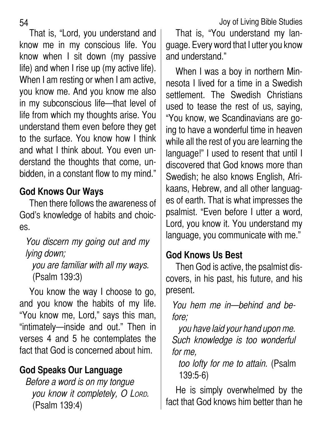That is, "Lord, you understand and know me in my conscious life. You know when I sit down (my passive life) and when I rise up (my active life). When I am resting or when I am active, you know me. And you know me also in my subconscious life—that level of life from which my thoughts arise. You understand them even before they get to the surface. You know how I think and what I think about. You even understand the thoughts that come, unbidden, in a constant flow to my mind."

#### **God Knows Our Ways**

Then there follows the awareness of God's knowledge of habits and choices.

You discern my going out and my lying down;

you are familiar with all my ways. (Psalm 139:3)

You know the way I choose to go, and you know the habits of my life. "You know me, Lord," says this man, "intimately—inside and out." Then in verses 4 and 5 he contemplates the fact that God is concerned about him.

#### **God Speaks Our Language**

Before a word is on my tongue you know it completely, O LORD. (Psalm 139:4)

54 Joy of Living Bible Studies That is, "You understand my language. Every word that I utter you know and understand."

> When I was a boy in northern Minnesota I lived for a time in a Swedish settlement. The Swedish Christians used to tease the rest of us, saying, "You know, we Scandinavians are going to have a wonderful time in heaven while all the rest of you are learning the language!" I used to resent that until I discovered that God knows more than Swedish; he also knows English, Afrikaans, Hebrew, and all other languages of earth. That is what impresses the psalmist. "Even before I utter a word, Lord, you know it. You understand my language, you communicate with me."

#### **God Knows Us Best**

Then God is active, the psalmist discovers, in his past, his future, and his present.

You hem me in—behind and before;

you have laid your hand upon me. Such knowledge is too wonderful for me,

too lofty for me to attain. (Psalm 139:5-6)

He is simply overwhelmed by the fact that God knows him better than he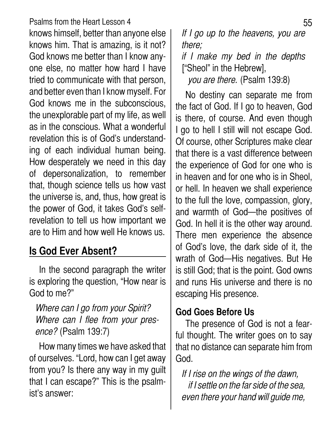knows himself, better than anyone else knows him. That is amazing, is it not? God knows me better than I know anyone else, no matter how hard I have tried to communicate with that person, and better even than I know myself. For God knows me in the subconscious, the unexplorable part of my life, as well as in the conscious. What a wonderful revelation this is of God's understanding of each individual human being. How desperately we need in this day of depersonalization, to remember that, though science tells us how vast the universe is, and, thus, how great is the power of God, it takes God's selfrevelation to tell us how important we are to Him and how well He knows us. Psalms from the Heart Lesson 4

# **Is God Ever Absent?**

In the second paragraph the writer is exploring the question, "How near is God to me?"

Where can I go from your Spirit? Where can I flee from your presence? (Psalm 139:7)

How many times we have asked that of ourselves. "Lord, how can I get away from you? Is there any way in my guilt that I can escape?" This is the psalmist's answer:

If I go up to the heavens, you are there;

if I make my bed in the depths ["Sheol" in the Hebrew],

you are there. (Psalm 139:8)

No destiny can separate me from the fact of God. If I go to heaven, God is there, of course. And even though I go to hell I still will not escape God. Of course, other Scriptures make clear that there is a vast difference between the experience of God for one who is in heaven and for one who is in Sheol, or hell. In heaven we shall experience to the full the love, compassion, glory, and warmth of God—the positives of God. In hell it is the other way around. There men experience the absence of God's love, the dark side of it, the wrath of God—His negatives. But He is still God; that is the point. God owns and runs His universe and there is no escaping His presence.

#### **God Goes Before Us**

The presence of God is not a fearful thought. The writer goes on to say that no distance can separate him from God.

If I rise on the wings of the dawn, if I settle on the far side of the sea, even there your hand will guide me,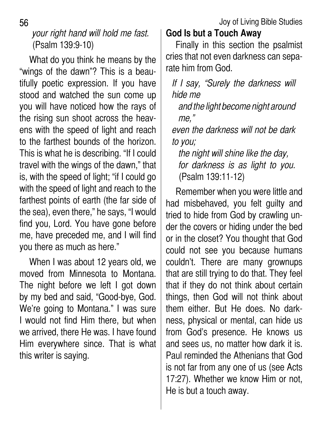56 Joy of Living Bible Studies

your right hand will hold me fast. (Psalm 139:9-10)

What do you think he means by the "wings of the dawn"? This is a beautifully poetic expression. If you have stood and watched the sun come up you will have noticed how the rays of the rising sun shoot across the heavens with the speed of light and reach to the farthest bounds of the horizon. This is what he is describing. "If I could travel with the wings of the dawn," that is, with the speed of light; "if I could go with the speed of light and reach to the farthest points of earth (the far side of the sea), even there," he says, "I would find you, Lord. You have gone before me, have preceded me, and I will find you there as much as here."

When I was about 12 years old, we moved from Minnesota to Montana. The night before we left I got down by my bed and said, "Good-bye, God. We're going to Montana." I was sure I would not find Him there, but when we arrived, there He was. I have found Him everywhere since. That is what this writer is saying.

**God Is but a Touch Away**

Finally in this section the psalmist cries that not even darkness can separate him from God.

If I say, "Surely the darkness will hide me

and the light become night around me,"

even the darkness will not be dark to you;

the night will shine like the day, for darkness is as light to you. (Psalm 139:11-12)

Remember when you were little and had misbehaved, you felt guilty and tried to hide from God by crawling under the covers or hiding under the bed or in the closet? You thought that God could not see you because humans couldn't. There are many grownups that are still trying to do that. They feel that if they do not think about certain things, then God will not think about them either. But He does. No darkness, physical or mental, can hide us from God's presence. He knows us and sees us, no matter how dark it is. Paul reminded the Athenians that God is not far from any one of us (see Acts 17:27). Whether we know Him or not, He is but a touch away.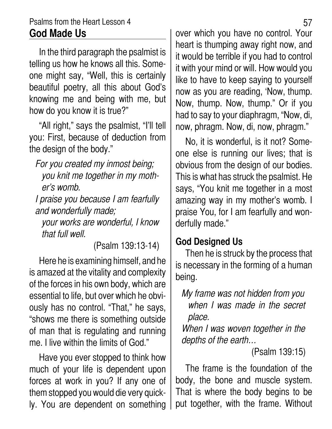#### **God Made Us** Psalms from the Heart Lesson 4

In the third paragraph the psalmist is telling us how he knows all this. Someone might say, "Well, this is certainly beautiful poetry, all this about God's knowing me and being with me, but how do you know it is true?"

"All right," says the psalmist, "I'll tell you: First, because of deduction from the design of the body."

For you created my inmost being; you knit me together in my mother's womb.

I praise you because I am fearfully and wonderfully made;

your works are wonderful, I know that full well.

(Psalm 139:13-14)

Here he is examining himself, and he is amazed at the vitality and complexity of the forces in his own body, which are essential to life, but over which he obviously has no control. "That," he says, "shows me there is something outside of man that is regulating and running me. I live within the limits of God."

Have you ever stopped to think how much of your life is dependent upon forces at work in you? If any one of them stopped you would die very quickly. You are dependent on something

over which you have no control. Your heart is thumping away right now, and it would be terrible if you had to control it with your mind or will. How would you like to have to keep saying to yourself now as you are reading, 'Now, thump. Now, thump. Now, thump." Or if you had to say to your diaphragm, "Now, di, now, phragm. Now, di, now, phragm."

No, it is wonderful, is it not? Someone else is running our lives; that is obvious from the design of our bodies. This is what has struck the psalmist. He says, "You knit me together in a most amazing way in my mother's womb. I praise You, for I am fearfully and wonderfully made."

#### **God Designed Us**

Then he is struck by the process that is necessary in the forming of a human being.

My frame was not hidden from you when I was made in the secret place.

When I was woven together in the depths of the earth…

```
(Psalm 139:15)
```
The frame is the foundation of the body, the bone and muscle system. That is where the body begins to be put together, with the frame. Without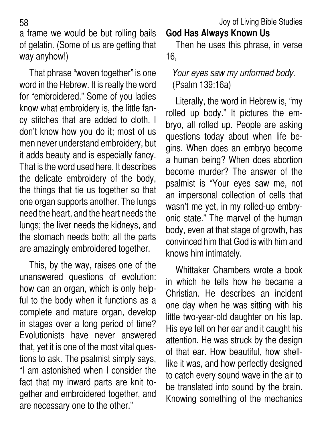a frame we would be but rolling bails of gelatin. (Some of us are getting that way anyhow!)

That phrase "woven together" is one word in the Hebrew. It is really the word for "embroidered." Some of you ladies know what embroidery is, the little fancy stitches that are added to cloth. I don't know how you do it; most of us men never understand embroidery, but it adds beauty and is especially fancy. That is the word used here. It describes the delicate embroidery of the body, the things that tie us together so that one organ supports another. The lungs need the heart, and the heart needs the lungs; the liver needs the kidneys, and the stomach needs both; all the parts are amazingly embroidered together.

This, by the way, raises one of the unanswered questions of evolution: how can an organ, which is only helpful to the body when it functions as a complete and mature organ, develop in stages over a long period of time? Evolutionists have never answered that, yet it is one of the most vital questions to ask. The psalmist simply says, "I am astonished when I consider the fact that my inward parts are knit together and embroidered together, and are necessary one to the other."

# **God Has Always Known Us**

Then he uses this phrase, in verse 16,

#### Your eyes saw my unformed body. (Psalm 139:16a)

Literally, the word in Hebrew is, "my rolled up body." It pictures the embryo, all rolled up. People are asking questions today about when life begins. When does an embryo become a human being? When does abortion become murder? The answer of the psalmist is "Your eyes saw me, not an impersonal collection of cells that wasn't me yet, in my rolled-up embryonic state." The marvel of the human body, even at that stage of growth, has convinced him that God is with him and knows him intimately.

Whittaker Chambers wrote a book in which he tells how he became a Christian. He describes an incident one day when he was sitting with his little two-year-old daughter on his lap. His eye fell on her ear and it caught his attention. He was struck by the design of that ear. How beautiful, how shelllike it was, and how perfectly designed to catch every sound wave in the air to be translated into sound by the brain. Knowing something of the mechanics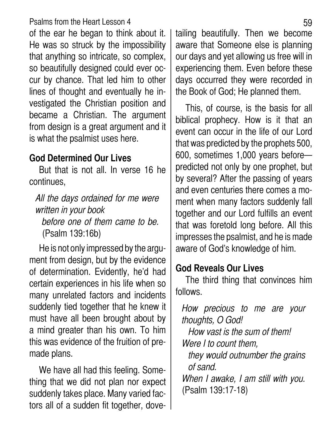#### Psalms from the Heart Lesson 4 59

of the ear he began to think about it. He was so struck by the impossibility that anything so intricate, so complex, so beautifully designed could ever occur by chance. That led him to other lines of thought and eventually he investigated the Christian position and became a Christian. The argument from design is a great argument and it is what the psalmist uses here.

#### **God Determined Our Lives**

But that is not all. In verse 16 he continues,

All the days ordained for me were written in your book

before one of them came to be. (Psalm 139:16b)

He is not only impressed by the argument from design, but by the evidence of determination. Evidently, he'd had certain experiences in his life when so many unrelated factors and incidents suddenly tied together that he knew it must have all been brought about by a mind greater than his own. To him this was evidence of the fruition of premade plans.

We have all had this feeling. Something that we did not plan nor expect suddenly takes place. Many varied factors all of a sudden fit together, dove-

tailing beautifully. Then we become aware that Someone else is planning our days and yet allowing us free will in experiencing them. Even before these days occurred they were recorded in the Book of God; He planned them.

This, of course, is the basis for all biblical prophecy. How is it that an event can occur in the life of our Lord that was predicted by the prophets 500, 600, sometimes 1,000 years before predicted not only by one prophet, but by several? After the passing of years and even centuries there comes a moment when many factors suddenly fall together and our Lord fulfills an event that was foretold long before. All this impresses the psalmist, and he is made aware of God's knowledge of him.

#### **God Reveals Our Lives**

The third thing that convinces him follows.

How precious to me are your thoughts, O God! How vast is the sum of them! Were I to count them. they would outnumber the grains of sand. When I awake, I am still with you. (Psalm 139:17-18)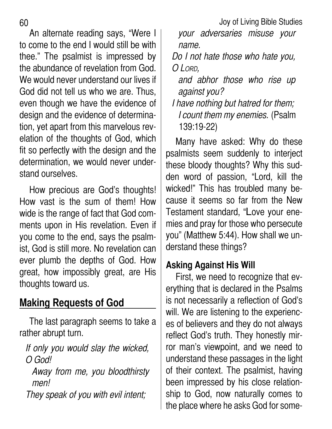An alternate reading says, "Were I to come to the end I would still be with thee." The psalmist is impressed by the abundance of revelation from God. We would never understand our lives if God did not tell us who we are. Thus, even though we have the evidence of design and the evidence of determination, yet apart from this marvelous revelation of the thoughts of God, which fit so perfectly with the design and the determination, we would never understand ourselves.

How precious are God's thoughts! How vast is the sum of them! How wide is the range of fact that God comments upon in His revelation. Even if you come to the end, says the psalmist, God is still more. No revelation can ever plumb the depths of God. How great, how impossibly great, are His thoughts toward us.

# **Making Requests of God**

The last paragraph seems to take a rather abrupt turn.

If only you would slay the wicked, O God!

Away from me, you bloodthirsty men!

They speak of you with evil intent;

your adversaries misuse your name.

Do I not hate those who hate you, O LORD.

and abhor those who rise up against you?

I have nothing but hatred for them; I count them my enemies. (Psalm 139:19-22)

Many have asked: Why do these psalmists seem suddenly to interject these bloody thoughts? Why this sudden word of passion, "Lord, kill the wicked!" This has troubled many because it seems so far from the New Testament standard, "Love your enemies and pray for those who persecute you" (Matthew 5:44). How shall we understand these things?

#### **Asking Against His Will**

First, we need to recognize that everything that is declared in the Psalms is not necessarily a reflection of God's will. We are listening to the experiences of believers and they do not always reflect God's truth. They honestly mirror man's viewpoint, and we need to understand these passages in the light of their context. The psalmist, having been impressed by his close relationship to God, now naturally comes to the place where he asks God for some-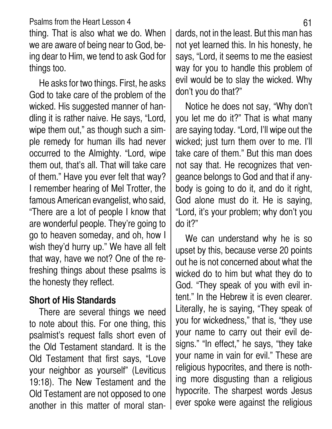#### Psalms from the Heart Lesson 4 61

thing. That is also what we do. When we are aware of being near to God, being dear to Him, we tend to ask God for things too.

He asks for two things. First, he asks God to take care of the problem of the wicked. His suggested manner of handling it is rather naive. He says, "Lord, wipe them out," as though such a simple remedy for human ills had never occurred to the Almighty. "Lord, wipe them out, that's all. That will take care of them." Have you ever felt that way? I remember hearing of Mel Trotter, the famous American evangelist, who said, "There are a lot of people I know that are wonderful people. They're going to go to heaven someday, and oh, how I wish they'd hurry up." We have all felt that way, have we not? One of the refreshing things about these psalms is the honesty they reflect.

#### **Short of His Standards**

There are several things we need to note about this. For one thing, this psalmist's request falls short even of the Old Testament standard. It is the Old Testament that first says, "Love your neighbor as yourself" (Leviticus 19:18). The New Testament and the Old Testament are not opposed to one another in this matter of moral stan-

dards, not in the least. But this man has not yet learned this. In his honesty, he says, "Lord, it seems to me the easiest way for you to handle this problem of evil would be to slay the wicked. Why don't you do that?"

Notice he does not say, "Why don't you let me do it?" That is what many are saying today. "Lord, I'll wipe out the wicked; just turn them over to me. I'll take care of them." But this man does not say that. He recognizes that vengeance belongs to God and that if anybody is going to do it, and do it right, God alone must do it. He is saying, "Lord, it's your problem; why don't you do it?"

We can understand why he is so upset by this, because verse 20 points out he is not concerned about what the wicked do to him but what they do to God. "They speak of you with evil intent." In the Hebrew it is even clearer. Literally, he is saying, "They speak of you for wickedness," that is, "they use your name to carry out their evil designs." "In effect," he says, "they take your name in vain for evil." These are religious hypocrites, and there is nothing more disgusting than a religious hypocrite. The sharpest words Jesus ever spoke were against the religious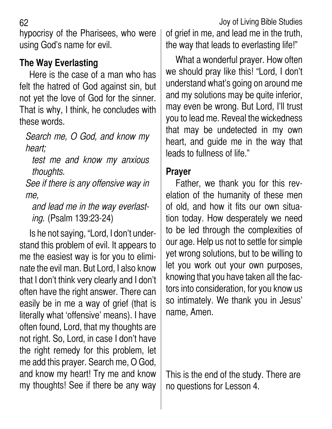hypocrisy of the Pharisees, who were using God's name for evil.

#### **The Way Everlasting**

Here is the case of a man who has felt the hatred of God against sin, but not yet the love of God for the sinner. That is why, I think, he concludes with these words.

Search me, O God, and know my heart;

test me and know my anxious thoughts.

See if there is any offensive way in me,

and lead me in the way everlasting. (Psalm 139:23-24)

Is he not saying, "Lord, I don't understand this problem of evil. It appears to me the easiest way is for you to eliminate the evil man. But Lord, I also know that I don't think very clearly and I don't often have the right answer. There can easily be in me a way of grief (that is literally what 'offensive' means). I have often found, Lord, that my thoughts are not right. So, Lord, in case I don't have the right remedy for this problem, let me add this prayer. Search me, O God, and know my heart! Try me and know my thoughts! See if there be any way

62 **62** Joy of Living Bible Studies of grief in me, and lead me in the truth, the way that leads to everlasting life!"

> What a wonderful prayer. How often we should pray like this! "Lord, I don't understand what's going on around me and my solutions may be quite inferior, may even be wrong. But Lord, I'll trust you to lead me. Reveal the wickedness that may be undetected in my own heart, and guide me in the way that leads to fullness of life."

#### **Prayer**

Father, we thank you for this revelation of the humanity of these men of old, and how it fits our own situation today. How desperately we need to be led through the complexities of our age. Help us not to settle for simple yet wrong solutions, but to be willing to let you work out your own purposes, knowing that you have taken all the factors into consideration, for you know us so intimately. We thank you in Jesus' name, Amen.

This is the end of the study. There are no questions for Lesson 4.